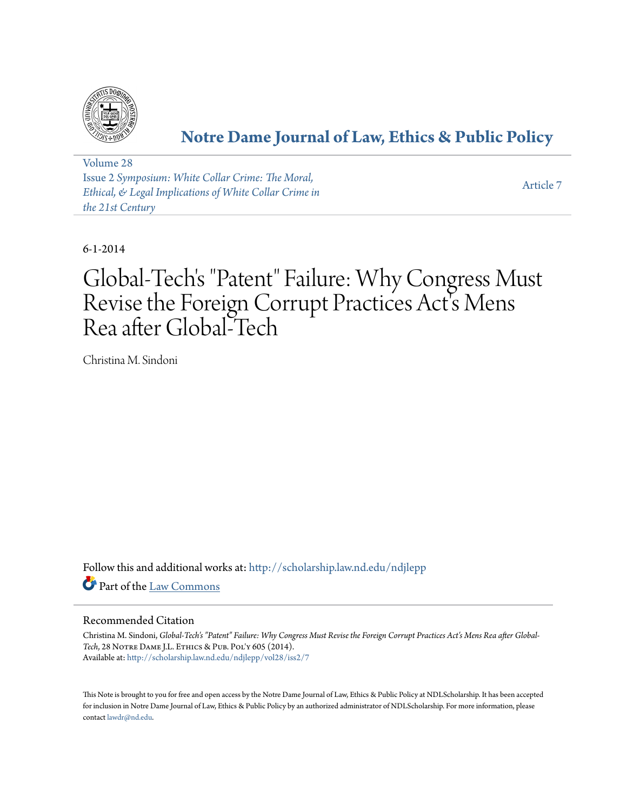

# **[Notre Dame Journal of Law, Ethics & Public Policy](http://scholarship.law.nd.edu/ndjlepp?utm_source=scholarship.law.nd.edu%2Fndjlepp%2Fvol28%2Fiss2%2F7&utm_medium=PDF&utm_campaign=PDFCoverPages)**

[Volume 28](http://scholarship.law.nd.edu/ndjlepp/vol28?utm_source=scholarship.law.nd.edu%2Fndjlepp%2Fvol28%2Fiss2%2F7&utm_medium=PDF&utm_campaign=PDFCoverPages) Issue 2 *[Symposium: White Collar Crime: The Moral,](http://scholarship.law.nd.edu/ndjlepp/vol28/iss2?utm_source=scholarship.law.nd.edu%2Fndjlepp%2Fvol28%2Fiss2%2F7&utm_medium=PDF&utm_campaign=PDFCoverPages) [Ethical, & Legal Implications of White Collar Crime in](http://scholarship.law.nd.edu/ndjlepp/vol28/iss2?utm_source=scholarship.law.nd.edu%2Fndjlepp%2Fvol28%2Fiss2%2F7&utm_medium=PDF&utm_campaign=PDFCoverPages) [the 21st Century](http://scholarship.law.nd.edu/ndjlepp/vol28/iss2?utm_source=scholarship.law.nd.edu%2Fndjlepp%2Fvol28%2Fiss2%2F7&utm_medium=PDF&utm_campaign=PDFCoverPages)*

[Article 7](http://scholarship.law.nd.edu/ndjlepp/vol28/iss2/7?utm_source=scholarship.law.nd.edu%2Fndjlepp%2Fvol28%2Fiss2%2F7&utm_medium=PDF&utm_campaign=PDFCoverPages)

6-1-2014

# Global-Tech's "Patent" Failure: Why Congress Must Revise the Foreign Corrupt Practices Act's Mens Rea after Global-Tech

Christina M. Sindoni

Follow this and additional works at: [http://scholarship.law.nd.edu/ndjlepp](http://scholarship.law.nd.edu/ndjlepp?utm_source=scholarship.law.nd.edu%2Fndjlepp%2Fvol28%2Fiss2%2F7&utm_medium=PDF&utm_campaign=PDFCoverPages) Part of the [Law Commons](http://network.bepress.com/hgg/discipline/578?utm_source=scholarship.law.nd.edu%2Fndjlepp%2Fvol28%2Fiss2%2F7&utm_medium=PDF&utm_campaign=PDFCoverPages)

### Recommended Citation

Christina M. Sindoni, *Global-Tech's "Patent" Failure: Why Congress Must Revise the Foreign Corrupt Practices Act's Mens Rea after Global-Tech*, 28 Notre Dame J.L. Ethics & Pub. Pol'y 605 (2014). Available at: [http://scholarship.law.nd.edu/ndjlepp/vol28/iss2/7](http://scholarship.law.nd.edu/ndjlepp/vol28/iss2/7?utm_source=scholarship.law.nd.edu%2Fndjlepp%2Fvol28%2Fiss2%2F7&utm_medium=PDF&utm_campaign=PDFCoverPages)

This Note is brought to you for free and open access by the Notre Dame Journal of Law, Ethics & Public Policy at NDLScholarship. It has been accepted for inclusion in Notre Dame Journal of Law, Ethics & Public Policy by an authorized administrator of NDLScholarship. For more information, please contact [lawdr@nd.edu.](mailto:lawdr@nd.edu)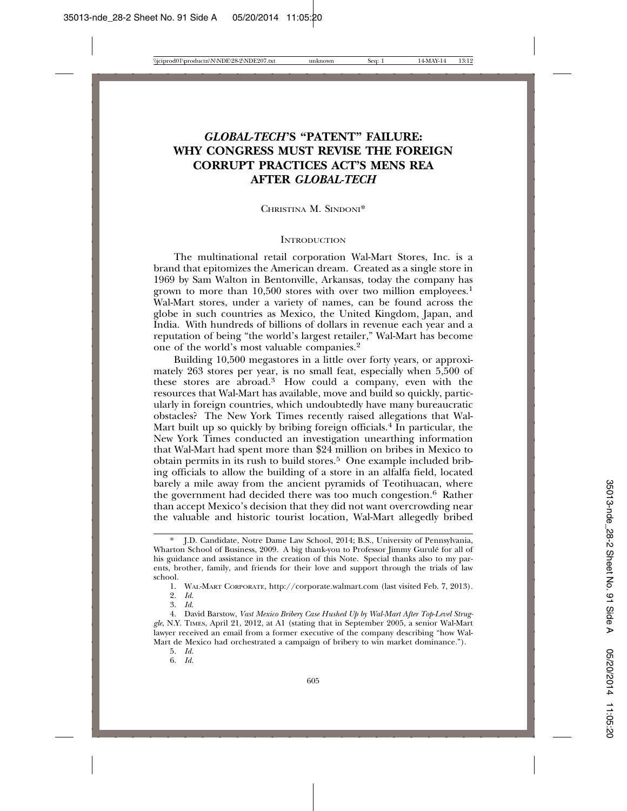## *GLOBAL-TECH***'S "PATENT" FAILURE: WHY CONGRESS MUST REVISE THE FOREIGN CORRUPT PRACTICES ACT'S MENS REA AFTER** *GLOBAL-TECH*

CHRISTINA M. SINDONI\*

#### **INTRODUCTION**

The multinational retail corporation Wal-Mart Stores, Inc. is a brand that epitomizes the American dream. Created as a single store in 1969 by Sam Walton in Bentonville, Arkansas, today the company has grown to more than 10,500 stores with over two million employees.<sup>1</sup> Wal-Mart stores, under a variety of names, can be found across the globe in such countries as Mexico, the United Kingdom, Japan, and India. With hundreds of billions of dollars in revenue each year and a reputation of being "the world's largest retailer," Wal-Mart has become one of the world's most valuable companies.2

Building 10,500 megastores in a little over forty years, or approximately 263 stores per year, is no small feat, especially when 5,500 of these stores are abroad.<sup>3</sup> How could a company, even with the resources that Wal-Mart has available, move and build so quickly, particularly in foreign countries, which undoubtedly have many bureaucratic obstacles? The New York Times recently raised allegations that Wal-Mart built up so quickly by bribing foreign officials.<sup>4</sup> In particular, the New York Times conducted an investigation unearthing information that Wal-Mart had spent more than \$24 million on bribes in Mexico to obtain permits in its rush to build stores.5 One example included bribing officials to allow the building of a store in an alfalfa field, located barely a mile away from the ancient pyramids of Teotihuacan, where the government had decided there was too much congestion.6 Rather than accept Mexico's decision that they did not want overcrowding near the valuable and historic tourist location, Wal-Mart allegedly bribed

5. *Id.*

6. *Id.*

<sup>\*</sup> J.D. Candidate, Notre Dame Law School, 2014; B.S., University of Pennsylvania, Wharton School of Business, 2009. A big thank-you to Professor Jimmy Gurule for all of ´ his guidance and assistance in the creation of this Note. Special thanks also to my parents, brother, family, and friends for their love and support through the trials of law school.

<sup>1.</sup> WAL-MART CORPORATE, http://corporate.walmart.com (last visited Feb. 7, 2013).

<sup>2.</sup> *Id*.

<sup>3.</sup> *Id*.

<sup>4.</sup> David Barstow, *Vast Mexico Bribery Case Hushed Up by Wal-Mart After Top-Level Struggle*, N.Y. TIMES, April 21, 2012, at A1 (stating that in September 2005, a senior Wal-Mart lawyer received an email from a former executive of the company describing "how Wal-Mart de Mexico had orchestrated a campaign of bribery to win market dominance.").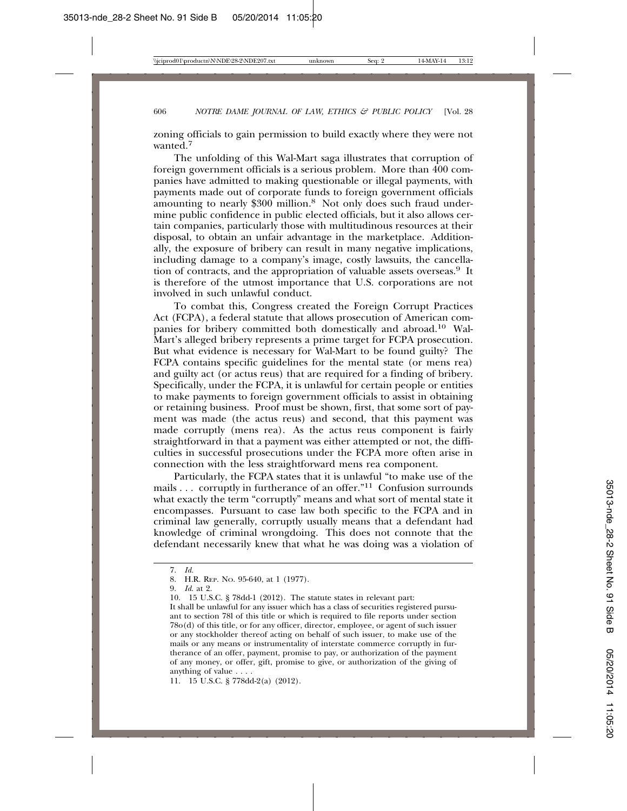zoning officials to gain permission to build exactly where they were not wanted<sup>7</sup>

The unfolding of this Wal-Mart saga illustrates that corruption of foreign government officials is a serious problem. More than 400 companies have admitted to making questionable or illegal payments, with payments made out of corporate funds to foreign government officials amounting to nearly \$300 million.<sup>8</sup> Not only does such fraud undermine public confidence in public elected officials, but it also allows certain companies, particularly those with multitudinous resources at their disposal, to obtain an unfair advantage in the marketplace. Additionally, the exposure of bribery can result in many negative implications, including damage to a company's image, costly lawsuits, the cancellation of contracts, and the appropriation of valuable assets overseas.<sup>9</sup> It is therefore of the utmost importance that U.S. corporations are not involved in such unlawful conduct.

To combat this, Congress created the Foreign Corrupt Practices Act (FCPA), a federal statute that allows prosecution of American companies for bribery committed both domestically and abroad.10 Wal-Mart's alleged bribery represents a prime target for FCPA prosecution. But what evidence is necessary for Wal-Mart to be found guilty? The FCPA contains specific guidelines for the mental state (or mens rea) and guilty act (or actus reus) that are required for a finding of bribery. Specifically, under the FCPA, it is unlawful for certain people or entities to make payments to foreign government officials to assist in obtaining or retaining business. Proof must be shown, first, that some sort of payment was made (the actus reus) and second, that this payment was made corruptly (mens rea). As the actus reus component is fairly straightforward in that a payment was either attempted or not, the difficulties in successful prosecutions under the FCPA more often arise in connection with the less straightforward mens rea component.

Particularly, the FCPA states that it is unlawful "to make use of the mails . . . corruptly in furtherance of an offer."11 Confusion surrounds what exactly the term "corruptly" means and what sort of mental state it encompasses. Pursuant to case law both specific to the FCPA and in criminal law generally, corruptly usually means that a defendant had knowledge of criminal wrongdoing. This does not connote that the defendant necessarily knew that what he was doing was a violation of

<sup>7.</sup> *Id.*

<sup>8.</sup> H.R. REP. NO. 95-640, at 1 (1977).

<sup>9.</sup> *Id*. at 2.

<sup>10. 15</sup> U.S.C. § 78dd-1 (2012). The statute states in relevant part:

It shall be unlawful for any issuer which has a class of securities registered pursuant to section 78l of this title or which is required to file reports under section 78o(d) of this title, or for any officer, director, employee, or agent of such issuer or any stockholder thereof acting on behalf of such issuer, to make use of the mails or any means or instrumentality of interstate commerce corruptly in furtherance of an offer, payment, promise to pay, or authorization of the payment of any money, or offer, gift, promise to give, or authorization of the giving of anything of value . . . .

<sup>11. 15</sup> U.S.C. § 778dd-2(a) (2012).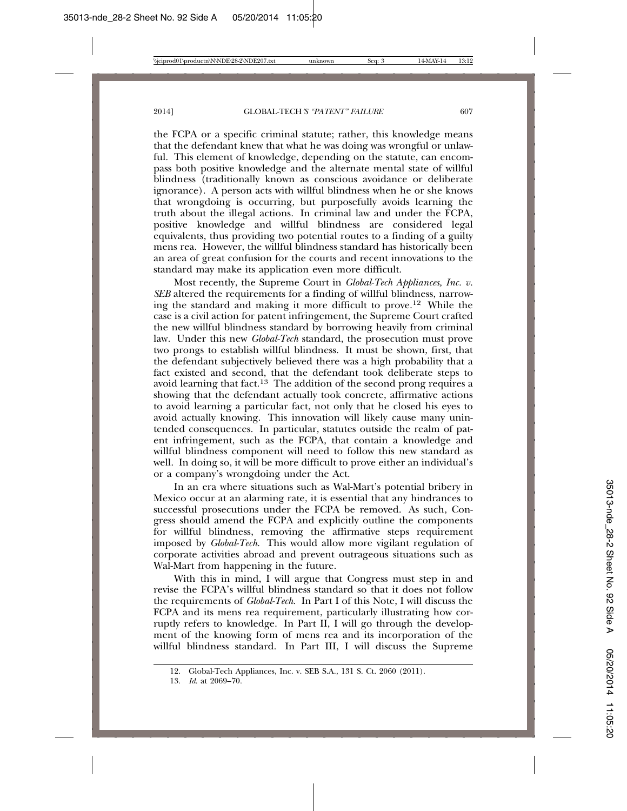the FCPA or a specific criminal statute; rather, this knowledge means that the defendant knew that what he was doing was wrongful or unlawful. This element of knowledge, depending on the statute, can encompass both positive knowledge and the alternate mental state of willful blindness (traditionally known as conscious avoidance or deliberate ignorance). A person acts with willful blindness when he or she knows that wrongdoing is occurring, but purposefully avoids learning the truth about the illegal actions. In criminal law and under the FCPA, positive knowledge and willful blindness are considered legal equivalents, thus providing two potential routes to a finding of a guilty mens rea. However, the willful blindness standard has historically been an area of great confusion for the courts and recent innovations to the standard may make its application even more difficult.

Most recently, the Supreme Court in *Global-Tech Appliances, Inc. v. SEB* altered the requirements for a finding of willful blindness, narrowing the standard and making it more difficult to prove.12 While the case is a civil action for patent infringement, the Supreme Court crafted the new willful blindness standard by borrowing heavily from criminal law. Under this new *Global-Tech* standard, the prosecution must prove two prongs to establish willful blindness. It must be shown, first, that the defendant subjectively believed there was a high probability that a fact existed and second, that the defendant took deliberate steps to avoid learning that fact.<sup>13</sup> The addition of the second prong requires a showing that the defendant actually took concrete, affirmative actions to avoid learning a particular fact, not only that he closed his eyes to avoid actually knowing. This innovation will likely cause many unintended consequences. In particular, statutes outside the realm of patent infringement, such as the FCPA, that contain a knowledge and willful blindness component will need to follow this new standard as well. In doing so, it will be more difficult to prove either an individual's or a company's wrongdoing under the Act.

In an era where situations such as Wal-Mart's potential bribery in Mexico occur at an alarming rate, it is essential that any hindrances to successful prosecutions under the FCPA be removed. As such, Congress should amend the FCPA and explicitly outline the components for willful blindness, removing the affirmative steps requirement imposed by *Global-Tech*. This would allow more vigilant regulation of corporate activities abroad and prevent outrageous situations such as Wal-Mart from happening in the future.

With this in mind, I will argue that Congress must step in and revise the FCPA's willful blindness standard so that it does not follow the requirements of *Global-Tech*. In Part I of this Note, I will discuss the FCPA and its mens rea requirement, particularly illustrating how corruptly refers to knowledge. In Part II, I will go through the development of the knowing form of mens rea and its incorporation of the willful blindness standard. In Part III, I will discuss the Supreme

<sup>12.</sup> Global-Tech Appliances, Inc. v. SEB S.A., 131 S. Ct. 2060 (2011).

<sup>13.</sup> *Id*. at 2069–70.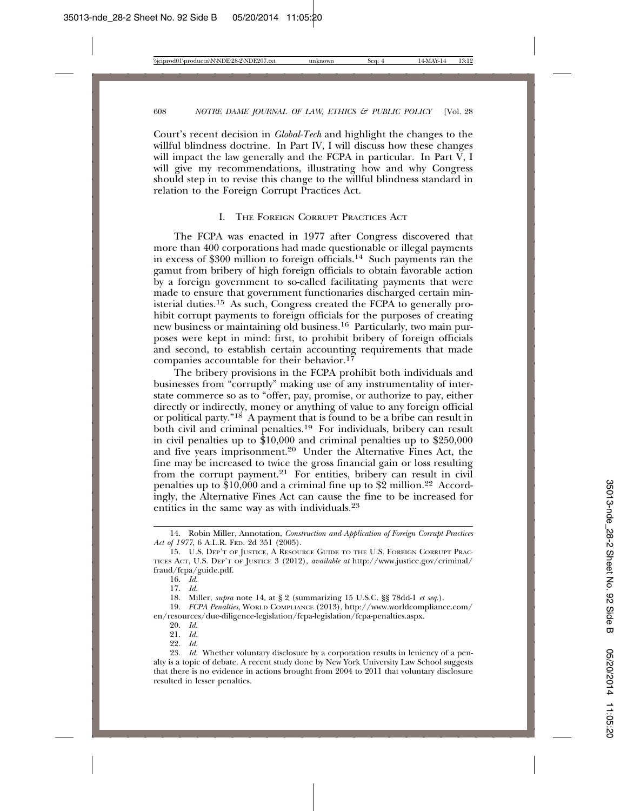Court's recent decision in *Global-Tech* and highlight the changes to the willful blindness doctrine. In Part IV, I will discuss how these changes will impact the law generally and the FCPA in particular. In Part  $\check{V}$ , I will give my recommendations, illustrating how and why Congress should step in to revise this change to the willful blindness standard in relation to the Foreign Corrupt Practices Act.

#### I. THE FOREIGN CORRUPT PRACTICES ACT

The FCPA was enacted in 1977 after Congress discovered that more than 400 corporations had made questionable or illegal payments in excess of \$300 million to foreign officials.14 Such payments ran the gamut from bribery of high foreign officials to obtain favorable action by a foreign government to so-called facilitating payments that were made to ensure that government functionaries discharged certain ministerial duties.15 As such, Congress created the FCPA to generally prohibit corrupt payments to foreign officials for the purposes of creating new business or maintaining old business.<sup>16</sup> Particularly, two main purposes were kept in mind: first, to prohibit bribery of foreign officials and second, to establish certain accounting requirements that made companies accountable for their behavior.<sup>17</sup>

The bribery provisions in the FCPA prohibit both individuals and businesses from "corruptly" making use of any instrumentality of interstate commerce so as to "offer, pay, promise, or authorize to pay, either directly or indirectly, money or anything of value to any foreign official or political party."<sup>18</sup> A payment that is found to be a bribe can result in both civil and criminal penalties.19 For individuals, bribery can result in civil penalties up to  $$10,000$  and criminal penalties up to  $$250,000$ and five years imprisonment.20 Under the Alternative Fines Act, the fine may be increased to twice the gross financial gain or loss resulting from the corrupt payment.<sup>21</sup> For entities, bribery can result in civil penalties up to  $$10,000$  and a criminal fine up to  $$2$  million.<sup>22</sup> Accordingly, the Alternative Fines Act can cause the fine to be increased for entities in the same way as with individuals.<sup>23</sup>

22. *Id.*

<sup>14.</sup> Robin Miller, Annotation, *Construction and Application of Foreign Corrupt Practices Act of 1977*, 6 A.L.R. FED. 2d 351 (2005).

<sup>15.</sup> U.S. DEP'T OF JUSTICE, A RESOURCE GUIDE TO THE U.S. FOREIGN CORRUPT PRAC-TICES ACT, U.S. DEP'T OF JUSTICE 3 (2012), *available at* http://www.justice.gov/criminal/ fraud/fcpa/guide.pdf.

<sup>16.</sup> *Id.*

<sup>17.</sup> *Id.*

<sup>18.</sup> Miller, *supra* note 14, at § 2 (summarizing 15 U.S.C. §§ 78dd-1 *et seq.*).

<sup>19.</sup> *FCPA Penalties*, WORLD COMPLIANCE (2013), http://www.worldcompliance.com/ en/resources/due-diligence-legislation/fcpa-legislation/fcpa-penalties.aspx.

<sup>20.</sup> *Id.*

<sup>21.</sup> *Id.*

<sup>23.</sup> *Id.* Whether voluntary disclosure by a corporation results in leniency of a penalty is a topic of debate. A recent study done by New York University Law School suggests that there is no evidence in actions brought from 2004 to 2011 that voluntary disclosure resulted in lesser penalties.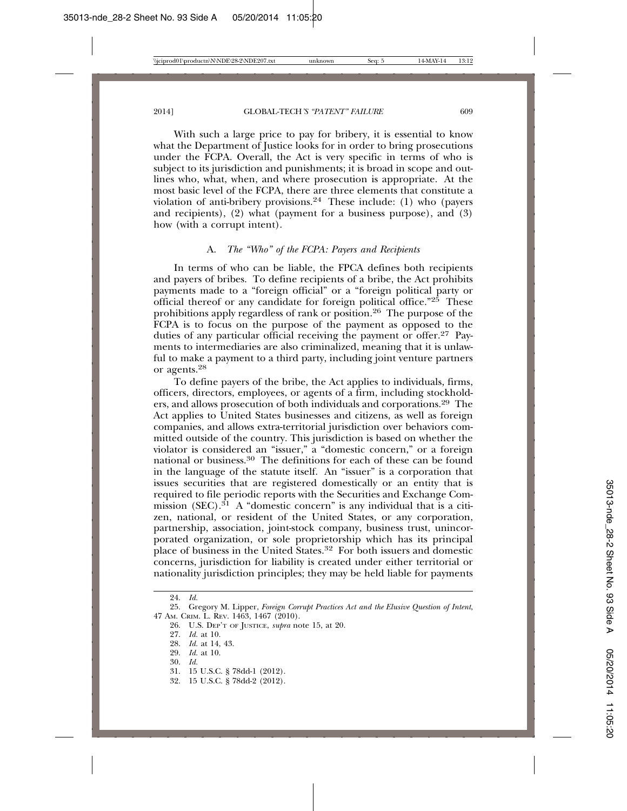With such a large price to pay for bribery, it is essential to know what the Department of Justice looks for in order to bring prosecutions under the FCPA. Overall, the Act is very specific in terms of who is subject to its jurisdiction and punishments; it is broad in scope and outlines who, what, when, and where prosecution is appropriate. At the most basic level of the FCPA, there are three elements that constitute a violation of anti-bribery provisions.<sup>24</sup> These include: (1) who (payers and recipients), (2) what (payment for a business purpose), and (3) how (with a corrupt intent).

#### A. *The "Who" of the FCPA: Payers and Recipients*

In terms of who can be liable, the FPCA defines both recipients and payers of bribes. To define recipients of a bribe, the Act prohibits payments made to a "foreign official" or a "foreign political party or official thereof or any candidate for foreign political office." $25$  These prohibitions apply regardless of rank or position.26 The purpose of the FCPA is to focus on the purpose of the payment as opposed to the duties of any particular official receiving the payment or offer.27 Payments to intermediaries are also criminalized, meaning that it is unlawful to make a payment to a third party, including joint venture partners or agents.28

To define payers of the bribe, the Act applies to individuals, firms, officers, directors, employees, or agents of a firm, including stockholders, and allows prosecution of both individuals and corporations.29 The Act applies to United States businesses and citizens, as well as foreign companies, and allows extra-territorial jurisdiction over behaviors committed outside of the country. This jurisdiction is based on whether the violator is considered an "issuer," a "domestic concern," or a foreign national or business.30 The definitions for each of these can be found in the language of the statute itself. An "issuer" is a corporation that issues securities that are registered domestically or an entity that is required to file periodic reports with the Securities and Exchange Commission (SEC).<sup>31</sup> A "domestic concern" is any individual that is a citizen, national, or resident of the United States, or any corporation, partnership, association, joint-stock company, business trust, unincorporated organization, or sole proprietorship which has its principal place of business in the United States.32 For both issuers and domestic concerns, jurisdiction for liability is created under either territorial or nationality jurisdiction principles; they may be held liable for payments

- 29. *Id.* at 10.
- 30. *Id.*
- 31. 15 U.S.C. § 78dd-1 (2012).
- 32. 15 U.S.C. § 78dd-2 (2012).

<sup>24.</sup> *Id.*

<sup>25.</sup> Gregory M. Lipper, *Foreign Corrupt Practices Act and the Elusive Question of Intent*, 47 AM. CRIM. L. REV. 1463, 1467 (2010).

<sup>26.</sup> U.S. DEP'T OF JUSTICE, *supra* note 15, at 20.

<sup>27.</sup> *Id.* at 10.

<sup>28.</sup> *Id.* at 14, 43.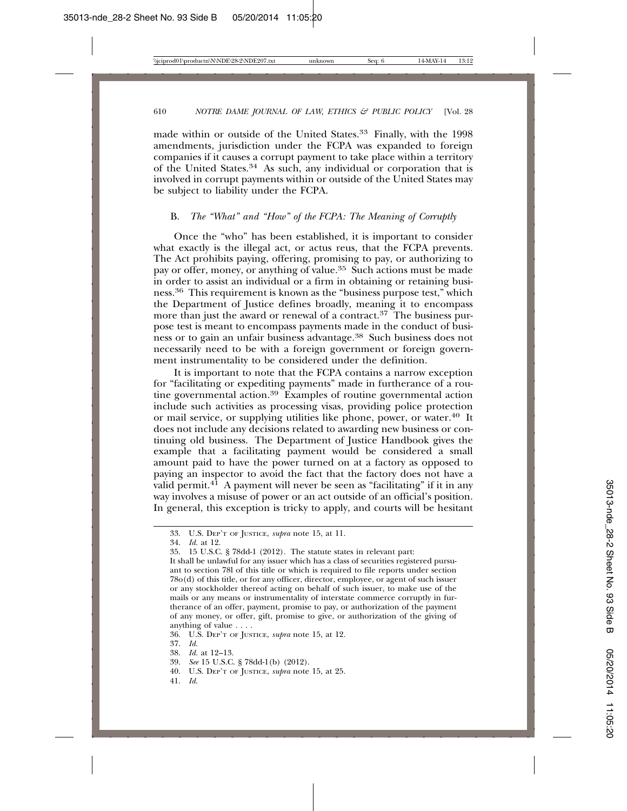made within or outside of the United States.<sup>33</sup> Finally, with the 1998 amendments, jurisdiction under the FCPA was expanded to foreign companies if it causes a corrupt payment to take place within a territory of the United States.<sup>34</sup> As such, any individual or corporation that is involved in corrupt payments within or outside of the United States may be subject to liability under the FCPA.

#### B. *The "What" and "How" of the FCPA: The Meaning of Corruptly*

Once the "who" has been established, it is important to consider what exactly is the illegal act, or actus reus, that the FCPA prevents. The Act prohibits paying, offering, promising to pay, or authorizing to pay or offer, money, or anything of value.35 Such actions must be made in order to assist an individual or a firm in obtaining or retaining business.36 This requirement is known as the "business purpose test," which the Department of Justice defines broadly, meaning it to encompass more than just the award or renewal of a contract.<sup>37</sup> The business purpose test is meant to encompass payments made in the conduct of business or to gain an unfair business advantage.38 Such business does not necessarily need to be with a foreign government or foreign government instrumentality to be considered under the definition.

It is important to note that the FCPA contains a narrow exception for "facilitating or expediting payments" made in furtherance of a routine governmental action.39 Examples of routine governmental action include such activities as processing visas, providing police protection or mail service, or supplying utilities like phone, power, or water.<sup>40</sup> It does not include any decisions related to awarding new business or continuing old business. The Department of Justice Handbook gives the example that a facilitating payment would be considered a small amount paid to have the power turned on at a factory as opposed to paying an inspector to avoid the fact that the factory does not have a valid permit. $4<sup>1</sup>$  A payment will never be seen as "facilitating" if it in any way involves a misuse of power or an act outside of an official's position. In general, this exception is tricky to apply, and courts will be hesitant

- 37. *Id.*
- 38. *Id.* at 12–13.

- 40. U.S. DEP'T OF JUSTICE, *supra* note 15, at 25.
- 41. *Id.*

<sup>33.</sup> U.S. DEP'T OF JUSTICE, *supra* note 15, at 11.

<sup>34.</sup> *Id.* at 12.

<sup>35. 15</sup> U.S.C. § 78dd-1 (2012). The statute states in relevant part:

It shall be unlawful for any issuer which has a class of securities registered pursuant to section 78l of this title or which is required to file reports under section 78o(d) of this title, or for any officer, director, employee, or agent of such issuer or any stockholder thereof acting on behalf of such issuer, to make use of the mails or any means or instrumentality of interstate commerce corruptly in furtherance of an offer, payment, promise to pay, or authorization of the payment of any money, or offer, gift, promise to give, or authorization of the giving of anything of value . . . .

<sup>36.</sup> U.S. DEP'T OF JUSTICE, *supra* note 15, at 12.

<sup>39.</sup> *See* 15 U.S.C. § 78dd-1(b) (2012).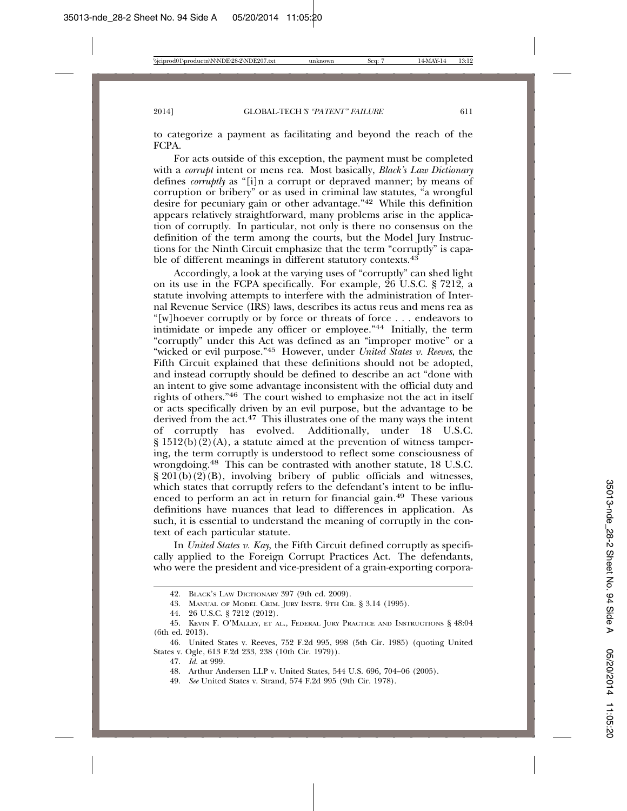to categorize a payment as facilitating and beyond the reach of the FCPA.

For acts outside of this exception, the payment must be completed with a *corrupt* intent or mens rea. Most basically, *Black's Law Dictionary* defines *corruptly* as "[i]n a corrupt or depraved manner; by means of corruption or bribery" or as used in criminal law statutes, "a wrongful desire for pecuniary gain or other advantage."42 While this definition appears relatively straightforward, many problems arise in the application of corruptly. In particular, not only is there no consensus on the definition of the term among the courts, but the Model Jury Instructions for the Ninth Circuit emphasize that the term "corruptly" is capable of different meanings in different statutory contexts.<sup>43</sup>

Accordingly, a look at the varying uses of "corruptly" can shed light on its use in the FCPA specifically. For example, 26 U.S.C. § 7212, a statute involving attempts to interfere with the administration of Internal Revenue Service (IRS) laws, describes its actus reus and mens rea as "[w]hoever corruptly or by force or threats of force . . . endeavors to intimidate or impede any officer or employee."44 Initially, the term "corruptly" under this Act was defined as an "improper motive" or a "wicked or evil purpose."45 However, under *United States v. Reeves*, the Fifth Circuit explained that these definitions should not be adopted, and instead corruptly should be defined to describe an act "done with an intent to give some advantage inconsistent with the official duty and rights of others."46 The court wished to emphasize not the act in itself or acts specifically driven by an evil purpose, but the advantage to be derived from the act.<sup>47</sup> This illustrates one of the many ways the intent of corruptly has evolved. Additionally, under 18 U.S.C.  $\S 1512(b)(2)(A)$ , a statute aimed at the prevention of witness tampering, the term corruptly is understood to reflect some consciousness of wrongdoing.48 This can be contrasted with another statute, 18 U.S.C.  $\S 201(b)(2)(B)$ , involving bribery of public officials and witnesses, which states that corruptly refers to the defendant's intent to be influenced to perform an act in return for financial gain.49 These various definitions have nuances that lead to differences in application. As such, it is essential to understand the meaning of corruptly in the context of each particular statute.

In *United States v. Kay*, the Fifth Circuit defined corruptly as specifically applied to the Foreign Corrupt Practices Act. The defendants, who were the president and vice-president of a grain-exporting corpora-

<sup>42.</sup> BLACK'S LAW DICTIONARY 397 (9th ed. 2009).

<sup>43.</sup> MANUAL OF MODEL CRIM. JURY INSTR. 9TH CIR. § 3.14 (1995).

<sup>44. 26</sup> U.S.C. § 7212 (2012).

<sup>45.</sup> KEVIN F. O'MALLEY, ET AL., FEDERAL JURY PRACTICE AND INSTRUCTIONS § 48:04 (6th ed. 2013).

<sup>46.</sup> United States v. Reeves, 752 F.2d 995, 998 (5th Cir. 1985) (quoting United States v. Ogle, 613 F.2d 233, 238 (10th Cir. 1979)).

<sup>47.</sup> *Id.* at 999.

<sup>48.</sup> Arthur Andersen LLP v. United States, 544 U.S. 696, 704–06 (2005).

<sup>49.</sup> *See* United States v. Strand, 574 F.2d 995 (9th Cir. 1978).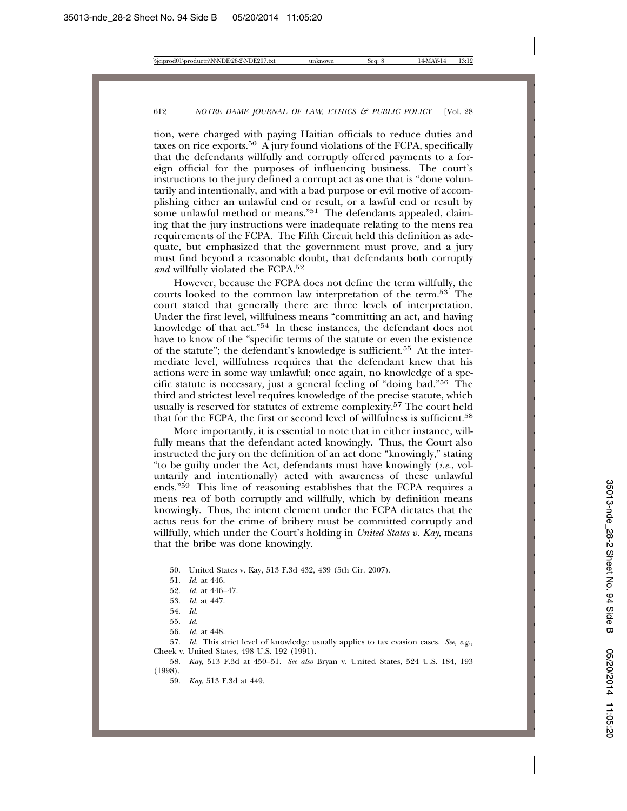tion, were charged with paying Haitian officials to reduce duties and taxes on rice exports.<sup>50</sup> A jury found violations of the FCPA, specifically that the defendants willfully and corruptly offered payments to a foreign official for the purposes of influencing business. The court's instructions to the jury defined a corrupt act as one that is "done voluntarily and intentionally, and with a bad purpose or evil motive of accomplishing either an unlawful end or result, or a lawful end or result by some unlawful method or means."<sup>51</sup> The defendants appealed, claiming that the jury instructions were inadequate relating to the mens rea requirements of the FCPA. The Fifth Circuit held this definition as adequate, but emphasized that the government must prove, and a jury must find beyond a reasonable doubt, that defendants both corruptly *and* willfully violated the FCPA.52

However, because the FCPA does not define the term willfully, the courts looked to the common law interpretation of the term.53 The court stated that generally there are three levels of interpretation. Under the first level, willfulness means "committing an act, and having knowledge of that act."54 In these instances, the defendant does not have to know of the "specific terms of the statute or even the existence of the statute"; the defendant's knowledge is sufficient.55 At the intermediate level, willfulness requires that the defendant knew that his actions were in some way unlawful; once again, no knowledge of a specific statute is necessary, just a general feeling of "doing bad."56 The third and strictest level requires knowledge of the precise statute, which usually is reserved for statutes of extreme complexity.57 The court held that for the FCPA, the first or second level of willfulness is sufficient.<sup>58</sup>

More importantly, it is essential to note that in either instance, willfully means that the defendant acted knowingly. Thus, the Court also instructed the jury on the definition of an act done "knowingly," stating "to be guilty under the Act, defendants must have knowingly (*i.e.*, voluntarily and intentionally) acted with awareness of these unlawful ends."59 This line of reasoning establishes that the FCPA requires a mens rea of both corruptly and willfully, which by definition means knowingly. Thus, the intent element under the FCPA dictates that the actus reus for the crime of bribery must be committed corruptly and willfully, which under the Court's holding in *United States v. Kay*, means that the bribe was done knowingly.

50. United States v. Kay, 513 F.3d 432, 439 (5th Cir. 2007).

58. *Kay*, 513 F.3d at 450–51. *See also* Bryan v. United States, 524 U.S. 184, 193 (1998).

59. *Kay*, 513 F.3d at 449.

<sup>51.</sup> *Id.* at 446.

<sup>52.</sup> *Id.* at 446–47.

<sup>53.</sup> *Id.* at 447.

<sup>54.</sup> *Id.*

<sup>55.</sup> *Id.*

<sup>56.</sup> *Id.* at 448.

<sup>57.</sup> *Id.* This strict level of knowledge usually applies to tax evasion cases. *See, e.g.,* Cheek v. United States, 498 U.S. 192 (1991).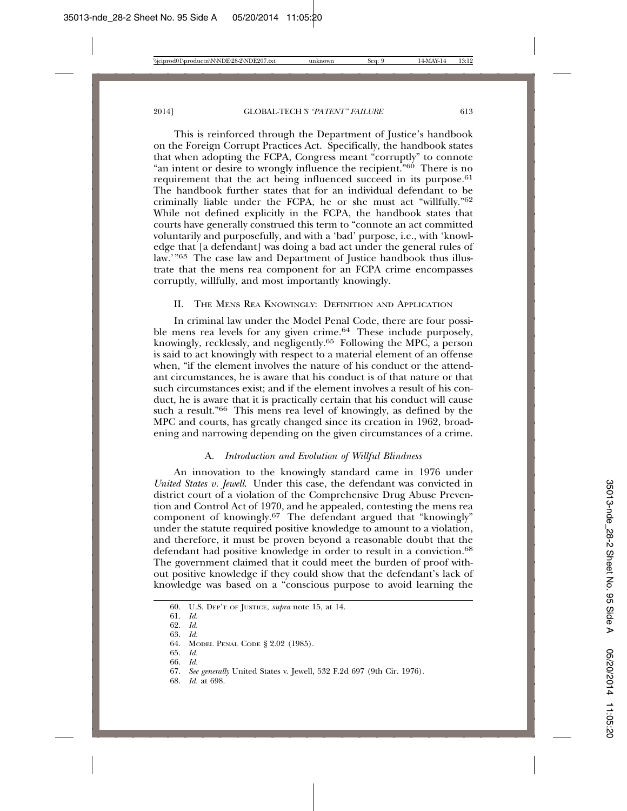This is reinforced through the Department of Justice's handbook on the Foreign Corrupt Practices Act. Specifically, the handbook states that when adopting the FCPA, Congress meant "corruptly" to connote "an intent or desire to wrongly influence the recipient.<sup>"60</sup> There is no requirement that the act being influenced succeed in its purpose.<sup>61</sup> The handbook further states that for an individual defendant to be criminally liable under the FCPA, he or she must act "willfully."62 While not defined explicitly in the FCPA, the handbook states that courts have generally construed this term to "connote an act committed voluntarily and purposefully, and with a 'bad' purpose, i.e., with 'knowledge that [a defendant] was doing a bad act under the general rules of law.'"63 The case law and Department of Justice handbook thus illustrate that the mens rea component for an FCPA crime encompasses corruptly, willfully, and most importantly knowingly.

#### II. THE MENS REA KNOWINGLY: DEFINITION AND APPLICATION

In criminal law under the Model Penal Code, there are four possible mens rea levels for any given crime.<sup>64</sup> These include purposely, knowingly, recklessly, and negligently.65 Following the MPC, a person is said to act knowingly with respect to a material element of an offense when, "if the element involves the nature of his conduct or the attendant circumstances, he is aware that his conduct is of that nature or that such circumstances exist; and if the element involves a result of his conduct, he is aware that it is practically certain that his conduct will cause such a result."66 This mens rea level of knowingly, as defined by the MPC and courts, has greatly changed since its creation in 1962, broadening and narrowing depending on the given circumstances of a crime.

#### A. *Introduction and Evolution of Willful Blindness*

An innovation to the knowingly standard came in 1976 under *United States v. Jewell*. Under this case, the defendant was convicted in district court of a violation of the Comprehensive Drug Abuse Prevention and Control Act of 1970, and he appealed, contesting the mens rea component of knowingly.67 The defendant argued that "knowingly" under the statute required positive knowledge to amount to a violation, and therefore, it must be proven beyond a reasonable doubt that the defendant had positive knowledge in order to result in a conviction.<sup>68</sup> The government claimed that it could meet the burden of proof without positive knowledge if they could show that the defendant's lack of knowledge was based on a "conscious purpose to avoid learning the

- 65. *Id.*
- 66. *Id.*

68. *Id.* at 698.

<sup>60.</sup> U.S. DEP'T OF JUSTICE, *supra* note 15, at 14.

<sup>61.</sup> *Id.*

<sup>62.</sup> *Id.* 63. *Id.*

<sup>64.</sup> MODEL PENAL CODE § 2.02 (1985).

<sup>67.</sup> *See generally* United States v. Jewell, 532 F.2d 697 (9th Cir. 1976).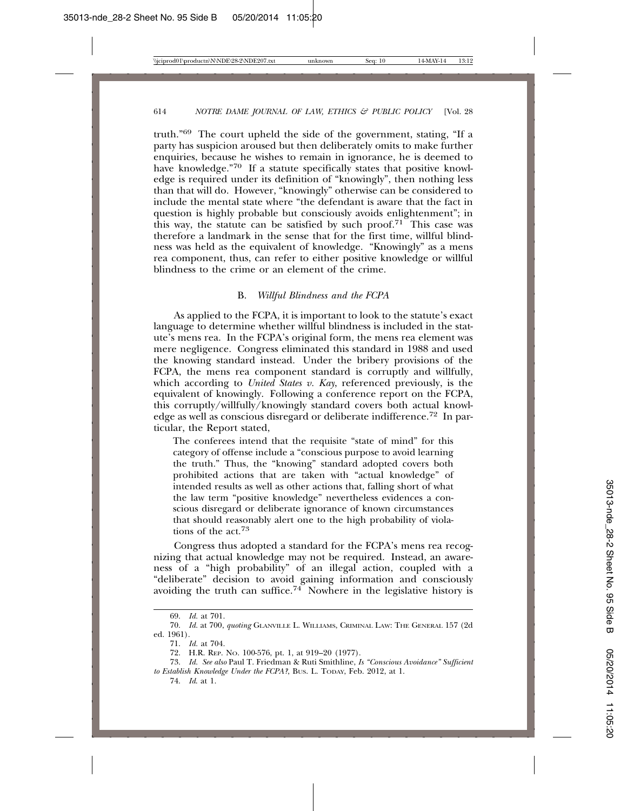truth."69 The court upheld the side of the government, stating, "If a party has suspicion aroused but then deliberately omits to make further enquiries, because he wishes to remain in ignorance, he is deemed to have knowledge."70 If a statute specifically states that positive knowledge is required under its definition of "knowingly", then nothing less than that will do. However, "knowingly" otherwise can be considered to include the mental state where "the defendant is aware that the fact in question is highly probable but consciously avoids enlightenment"; in this way, the statute can be satisfied by such proof.<sup>71</sup> This case was therefore a landmark in the sense that for the first time, willful blindness was held as the equivalent of knowledge. "Knowingly" as a mens rea component, thus, can refer to either positive knowledge or willful blindness to the crime or an element of the crime.

#### B. *Willful Blindness and the FCPA*

As applied to the FCPA, it is important to look to the statute's exact language to determine whether willful blindness is included in the statute's mens rea. In the FCPA's original form, the mens rea element was mere negligence. Congress eliminated this standard in 1988 and used the knowing standard instead. Under the bribery provisions of the FCPA, the mens rea component standard is corruptly and willfully, which according to *United States v. Kay*, referenced previously, is the equivalent of knowingly. Following a conference report on the FCPA, this corruptly/willfully/knowingly standard covers both actual knowledge as well as conscious disregard or deliberate indifference.72 In particular, the Report stated,

The conferees intend that the requisite "state of mind" for this category of offense include a "conscious purpose to avoid learning the truth." Thus, the "knowing" standard adopted covers both prohibited actions that are taken with "actual knowledge" of intended results as well as other actions that, falling short of what the law term "positive knowledge" nevertheless evidences a conscious disregard or deliberate ignorance of known circumstances that should reasonably alert one to the high probability of violations of the act.73

Congress thus adopted a standard for the FCPA's mens rea recognizing that actual knowledge may not be required. Instead, an awareness of a "high probability" of an illegal action, coupled with a "deliberate" decision to avoid gaining information and consciously avoiding the truth can suffice.<sup>74</sup> Nowhere in the legislative history is

<sup>69.</sup> *Id.* at 701.

<sup>70.</sup> *Id.* at 700, *quoting* GLANVILLE L. WILLIAMS, CRIMINAL LAW: THE GENERAL 157 (2d ed. 1961).

<sup>71.</sup> *Id.* at 704.

<sup>72.</sup> H.R. REP. NO. 100-576, pt. 1, at 919–20 (1977).

<sup>73.</sup> *Id. See also* Paul T. Friedman & Ruti Smithline, *Is "Conscious Avoidance" Sufficient to Establish Knowledge Under the FCPA?*, BUS. L. TODAY, Feb. 2012, at 1.

<sup>74.</sup> *Id*. at 1.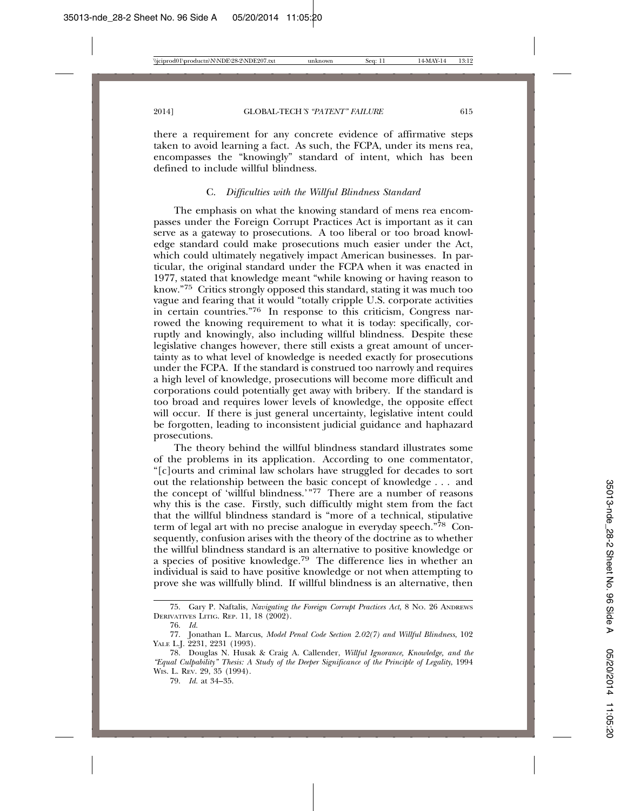there a requirement for any concrete evidence of affirmative steps taken to avoid learning a fact. As such, the FCPA, under its mens rea, encompasses the "knowingly" standard of intent, which has been defined to include willful blindness.

#### C. *Difficulties with the Willful Blindness Standard*

The emphasis on what the knowing standard of mens rea encompasses under the Foreign Corrupt Practices Act is important as it can serve as a gateway to prosecutions. A too liberal or too broad knowledge standard could make prosecutions much easier under the Act, which could ultimately negatively impact American businesses. In particular, the original standard under the FCPA when it was enacted in 1977, stated that knowledge meant "while knowing or having reason to know."75 Critics strongly opposed this standard, stating it was much too vague and fearing that it would "totally cripple U.S. corporate activities in certain countries."76 In response to this criticism, Congress narrowed the knowing requirement to what it is today: specifically, corruptly and knowingly, also including willful blindness. Despite these legislative changes however, there still exists a great amount of uncertainty as to what level of knowledge is needed exactly for prosecutions under the FCPA. If the standard is construed too narrowly and requires a high level of knowledge, prosecutions will become more difficult and corporations could potentially get away with bribery. If the standard is too broad and requires lower levels of knowledge, the opposite effect will occur. If there is just general uncertainty, legislative intent could be forgotten, leading to inconsistent judicial guidance and haphazard prosecutions.

The theory behind the willful blindness standard illustrates some of the problems in its application. According to one commentator, "[c]ourts and criminal law scholars have struggled for decades to sort out the relationship between the basic concept of knowledge . . . and the concept of 'willful blindness.'"77 There are a number of reasons why this is the case. Firstly, such difficultly might stem from the fact that the willful blindness standard is "more of a technical, stipulative term of legal art with no precise analogue in everyday speech." $78$  Consequently, confusion arises with the theory of the doctrine as to whether the willful blindness standard is an alternative to positive knowledge or a species of positive knowledge.79 The difference lies in whether an individual is said to have positive knowledge or not when attempting to prove she was willfully blind. If willful blindness is an alternative, then

<sup>75.</sup> Gary P. Naftalis, *Navigating the Foreign Corrupt Practices Act*, 8 NO. 26 ANDREWS DERIVATIVES LITIG. REP. 11, 18 (2002).

<sup>76.</sup> *Id.*

<sup>77.</sup> Jonathan L. Marcus, *Model Penal Code Section 2.02(7) and Willful Blindness*, 102 YALE L.J. 2231, 2231 (1993).

<sup>78.</sup> Douglas N. Husak & Craig A. Callender, *Willful Ignorance, Knowledge, and the "Equal Culpability" Thesis: A Study of the Deeper Significance of the Principle of Legality*, 1994 WIS. L. REV. 29, 35 (1994).

<sup>79.</sup> *Id.* at 34–35.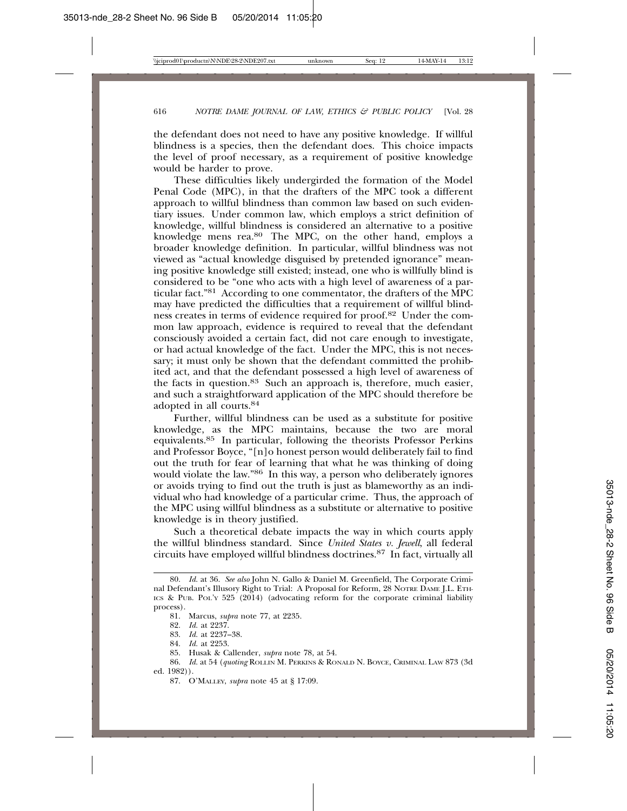the defendant does not need to have any positive knowledge. If willful blindness is a species, then the defendant does. This choice impacts the level of proof necessary, as a requirement of positive knowledge would be harder to prove.

These difficulties likely undergirded the formation of the Model Penal Code (MPC), in that the drafters of the MPC took a different approach to willful blindness than common law based on such evidentiary issues. Under common law, which employs a strict definition of knowledge, willful blindness is considered an alternative to a positive knowledge mens rea.80 The MPC, on the other hand, employs a broader knowledge definition. In particular, willful blindness was not viewed as "actual knowledge disguised by pretended ignorance" meaning positive knowledge still existed; instead, one who is willfully blind is considered to be "one who acts with a high level of awareness of a particular fact."81 According to one commentator, the drafters of the MPC may have predicted the difficulties that a requirement of willful blindness creates in terms of evidence required for proof.82 Under the common law approach, evidence is required to reveal that the defendant consciously avoided a certain fact, did not care enough to investigate, or had actual knowledge of the fact. Under the MPC, this is not necessary; it must only be shown that the defendant committed the prohibited act, and that the defendant possessed a high level of awareness of the facts in question.83 Such an approach is, therefore, much easier, and such a straightforward application of the MPC should therefore be adopted in all courts.84

Further, willful blindness can be used as a substitute for positive knowledge, as the MPC maintains, because the two are moral equivalents.85 In particular, following the theorists Professor Perkins and Professor Boyce, "[n]o honest person would deliberately fail to find out the truth for fear of learning that what he was thinking of doing would violate the law."86 In this way, a person who deliberately ignores or avoids trying to find out the truth is just as blameworthy as an individual who had knowledge of a particular crime. Thus, the approach of the MPC using willful blindness as a substitute or alternative to positive knowledge is in theory justified.

Such a theoretical debate impacts the way in which courts apply the willful blindness standard. Since *United States v. Jewell*, all federal circuits have employed willful blindness doctrines.87 In fact, virtually all

- 83. *Id.* at 2237–38.
- 84. *Id.* at 2253.

<sup>80.</sup> *Id.* at 36. *See also* John N. Gallo & Daniel M. Greenfield, The Corporate Criminal Defendant's Illusory Right to Trial: A Proposal for Reform, 28 NOTRE DAME J.L. ETH-ICS & PUB. POL'Y 525 (2014) (advocating reform for the corporate criminal liability process).

<sup>81.</sup> Marcus, *supra* note 77, at 2235.

<sup>82.</sup> *Id.* at 2237.

<sup>85.</sup> Husak & Callender, *supra* note 78, at 54.

<sup>86.</sup> *Id.* at 54 (*quoting* ROLLIN M. PERKINS & RONALD N. BOYCE, CRIMINAL LAW 873 (3d ed. 1982)).

<sup>87.</sup> O'MALLEY, *supra* note 45 at § 17:09.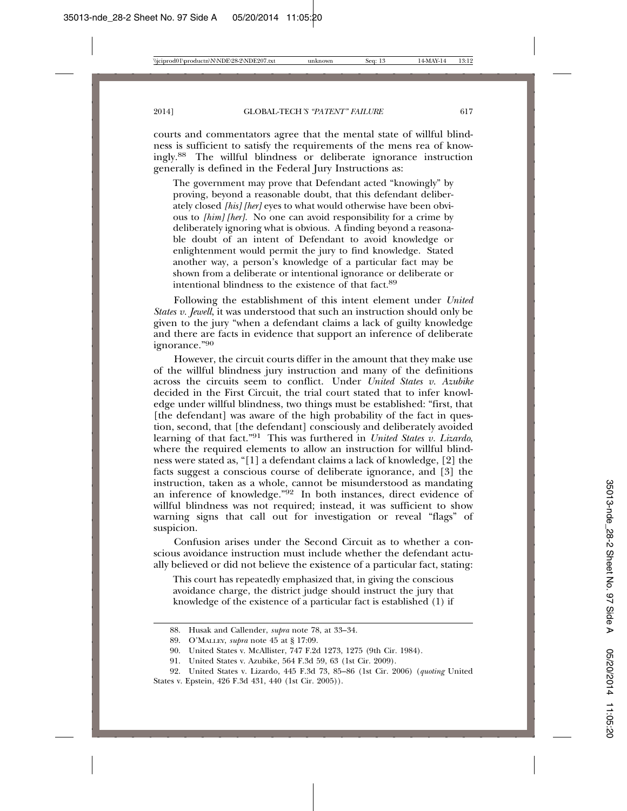courts and commentators agree that the mental state of willful blindness is sufficient to satisfy the requirements of the mens rea of knowingly.88 The willful blindness or deliberate ignorance instruction generally is defined in the Federal Jury Instructions as:

The government may prove that Defendant acted "knowingly" by proving, beyond a reasonable doubt, that this defendant deliberately closed *[his] [her]* eyes to what would otherwise have been obvious to *[him] [her]*. No one can avoid responsibility for a crime by deliberately ignoring what is obvious. A finding beyond a reasonable doubt of an intent of Defendant to avoid knowledge or enlightenment would permit the jury to find knowledge. Stated another way, a person's knowledge of a particular fact may be shown from a deliberate or intentional ignorance or deliberate or intentional blindness to the existence of that fact.89

Following the establishment of this intent element under *United States v. Jewell*, it was understood that such an instruction should only be given to the jury "when a defendant claims a lack of guilty knowledge and there are facts in evidence that support an inference of deliberate ignorance."<sup>90</sup>

However, the circuit courts differ in the amount that they make use of the willful blindness jury instruction and many of the definitions across the circuits seem to conflict. Under *United States v. Azubike* decided in the First Circuit, the trial court stated that to infer knowledge under willful blindness, two things must be established: "first, that [the defendant] was aware of the high probability of the fact in question, second, that [the defendant] consciously and deliberately avoided learning of that fact."91 This was furthered in *United States v. Lizardo*, where the required elements to allow an instruction for willful blindness were stated as, "[1] a defendant claims a lack of knowledge, [2] the facts suggest a conscious course of deliberate ignorance, and [3] the instruction, taken as a whole, cannot be misunderstood as mandating an inference of knowledge."92 In both instances, direct evidence of willful blindness was not required; instead, it was sufficient to show warning signs that call out for investigation or reveal "flags" of suspicion.

Confusion arises under the Second Circuit as to whether a conscious avoidance instruction must include whether the defendant actually believed or did not believe the existence of a particular fact, stating:

This court has repeatedly emphasized that, in giving the conscious avoidance charge, the district judge should instruct the jury that knowledge of the existence of a particular fact is established (1) if

<sup>88.</sup> Husak and Callender, *supra* note 78, at 33–34.

<sup>89.</sup> O'MALLEY, *supra* note 45 at § 17:09.

<sup>90.</sup> United States v. McAllister, 747 F.2d 1273, 1275 (9th Cir. 1984).

<sup>91.</sup> United States v. Azubike, 564 F.3d 59, 63 (1st Cir. 2009).

<sup>92.</sup> United States v. Lizardo, 445 F.3d 73, 85–86 (1st Cir. 2006) (*quoting* United States v. Epstein, 426 F.3d 431, 440 (1st Cir. 2005)).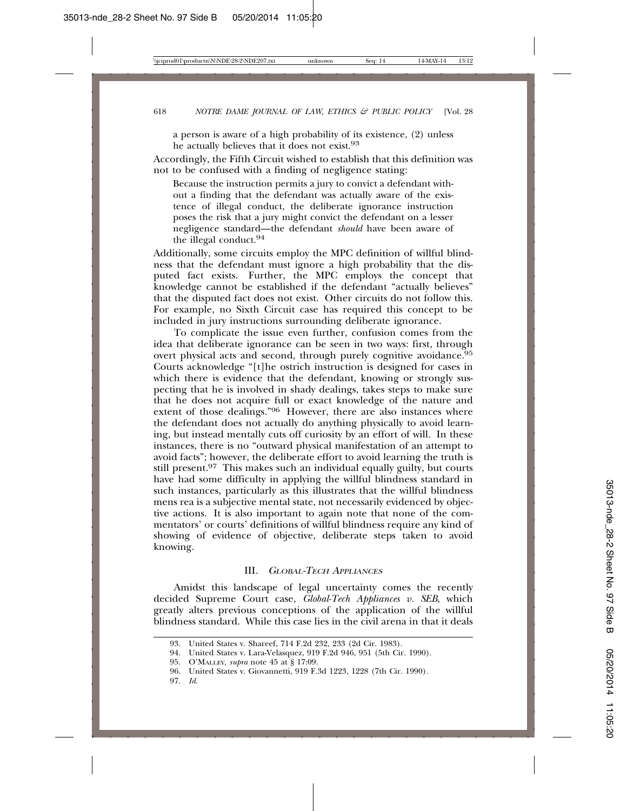a person is aware of a high probability of its existence, (2) unless he actually believes that it does not exist.<sup>93</sup>

Accordingly, the Fifth Circuit wished to establish that this definition was not to be confused with a finding of negligence stating:

Because the instruction permits a jury to convict a defendant without a finding that the defendant was actually aware of the existence of illegal conduct, the deliberate ignorance instruction poses the risk that a jury might convict the defendant on a lesser negligence standard—the defendant *should* have been aware of the illegal conduct.94

Additionally, some circuits employ the MPC definition of willful blindness that the defendant must ignore a high probability that the disputed fact exists. Further, the MPC employs the concept that knowledge cannot be established if the defendant "actually believes" that the disputed fact does not exist. Other circuits do not follow this. For example, no Sixth Circuit case has required this concept to be included in jury instructions surrounding deliberate ignorance.

To complicate the issue even further, confusion comes from the idea that deliberate ignorance can be seen in two ways: first, through overt physical acts and second, through purely cognitive avoidance.<sup>95</sup> Courts acknowledge "[t]he ostrich instruction is designed for cases in which there is evidence that the defendant, knowing or strongly suspecting that he is involved in shady dealings, takes steps to make sure that he does not acquire full or exact knowledge of the nature and extent of those dealings."<sup>96</sup> However, there are also instances where the defendant does not actually do anything physically to avoid learning, but instead mentally cuts off curiosity by an effort of will. In these instances, there is no "outward physical manifestation of an attempt to avoid facts"; however, the deliberate effort to avoid learning the truth is still present.<sup>97</sup> This makes such an individual equally guilty, but courts have had some difficulty in applying the willful blindness standard in such instances, particularly as this illustrates that the willful blindness mens rea is a subjective mental state, not necessarily evidenced by objective actions. It is also important to again note that none of the commentators' or courts' definitions of willful blindness require any kind of showing of evidence of objective, deliberate steps taken to avoid knowing.

#### III. <sup>G</sup>LOBAL-TECH APPLIANCES

Amidst this landscape of legal uncertainty comes the recently decided Supreme Court case, *Global-Tech Appliances v. SEB*, which greatly alters previous conceptions of the application of the willful blindness standard. While this case lies in the civil arena in that it deals

97. *Id*.

<sup>93.</sup> United States v. Shareef, 714 F.2d 232, 233 (2d Cir. 1983).

<sup>94.</sup> United States v. Lara-Velasquez, 919 F.2d 946, 951 (5th Cir. 1990).

<sup>95.</sup> O'MALLEY, *supra* note 45 at § 17:09.

<sup>96.</sup> United States v. Giovannetti, 919 F.3d 1223, 1228 (7th Cir. 1990).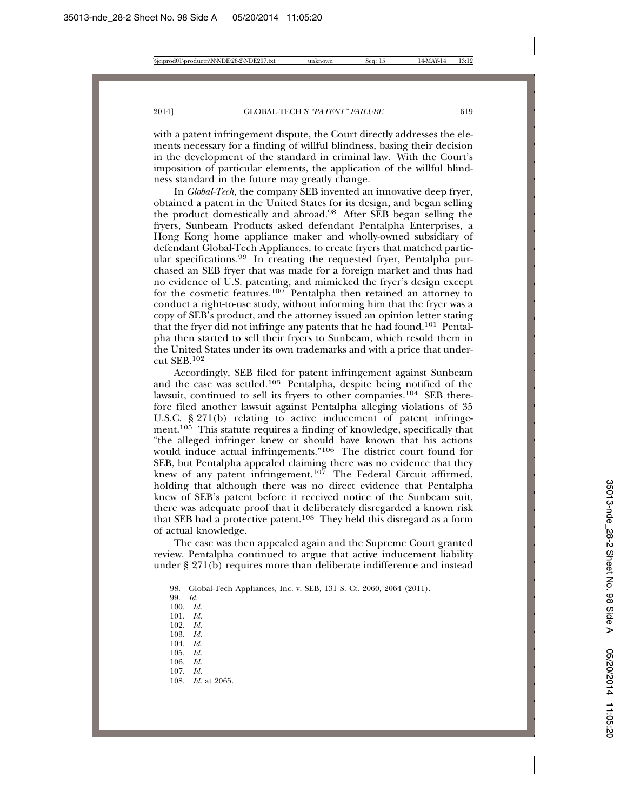with a patent infringement dispute, the Court directly addresses the elements necessary for a finding of willful blindness, basing their decision in the development of the standard in criminal law. With the Court's imposition of particular elements, the application of the willful blindness standard in the future may greatly change.

In *Global-Tech*, the company SEB invented an innovative deep fryer, obtained a patent in the United States for its design, and began selling the product domestically and abroad.98 After SEB began selling the fryers, Sunbeam Products asked defendant Pentalpha Enterprises, a Hong Kong home appliance maker and wholly-owned subsidiary of defendant Global-Tech Appliances, to create fryers that matched particular specifications.99 In creating the requested fryer, Pentalpha purchased an SEB fryer that was made for a foreign market and thus had no evidence of U.S. patenting, and mimicked the fryer's design except for the cosmetic features.<sup>100</sup> Pentalpha then retained an attorney to conduct a right-to-use study, without informing him that the fryer was a copy of SEB's product, and the attorney issued an opinion letter stating that the fryer did not infringe any patents that he had found.101 Pentalpha then started to sell their fryers to Sunbeam, which resold them in the United States under its own trademarks and with a price that undercut SEB.102

Accordingly, SEB filed for patent infringement against Sunbeam and the case was settled.103 Pentalpha, despite being notified of the lawsuit, continued to sell its fryers to other companies.104 SEB therefore filed another lawsuit against Pentalpha alleging violations of 35 U.S.C. § 271(b) relating to active inducement of patent infringement.<sup>105</sup> This statute requires a finding of knowledge, specifically that "the alleged infringer knew or should have known that his actions would induce actual infringements."106 The district court found for SEB, but Pentalpha appealed claiming there was no evidence that they knew of any patent infringement.<sup>107</sup> The Federal Circuit affirmed, holding that although there was no direct evidence that Pentalpha knew of SEB's patent before it received notice of the Sunbeam suit, there was adequate proof that it deliberately disregarded a known risk that SEB had a protective patent.<sup>108</sup> They held this disregard as a form of actual knowledge.

The case was then appealed again and the Supreme Court granted review. Pentalpha continued to argue that active inducement liability under § 271(b) requires more than deliberate indifference and instead

|  | 98.   Global-Tech Appliances, Inc. v. SEB, 131 S. Ct. 2060, 2064 (2011). |  |  |  |  |  |  |  |  |  |
|--|--------------------------------------------------------------------------|--|--|--|--|--|--|--|--|--|
|--|--------------------------------------------------------------------------|--|--|--|--|--|--|--|--|--|

99. *Id.*

- 100. *Id.*
- 101. *Id.* 102. *Id.*
- 103. *Id.*
- 104. *Id*.
- 105. *Id.*
- 106. *Id.*
- 107. *Id.*
- 108. *Id.* at 2065.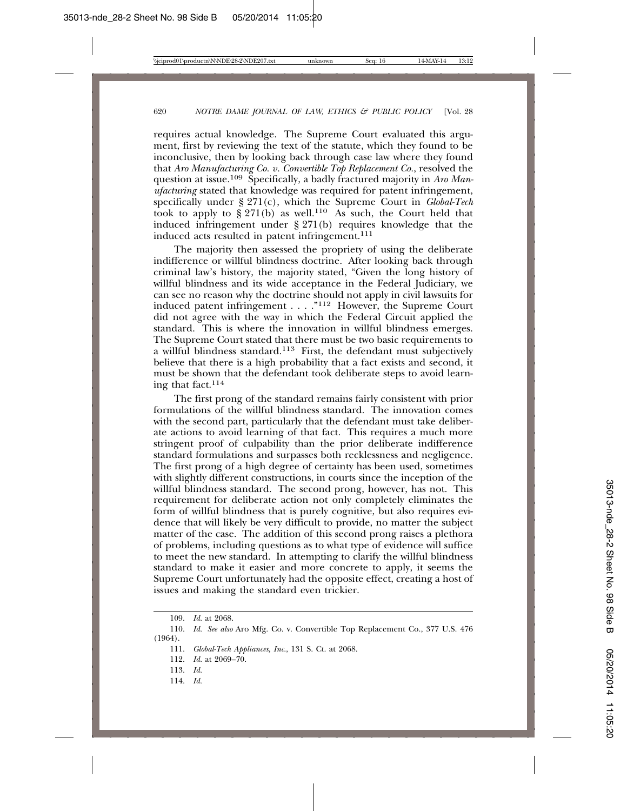requires actual knowledge. The Supreme Court evaluated this argument, first by reviewing the text of the statute, which they found to be inconclusive, then by looking back through case law where they found that *Aro Manufacturing Co. v. Convertible Top Replacement Co.*, resolved the question at issue.109 Specifically, a badly fractured majority in *Aro Manufacturing* stated that knowledge was required for patent infringement, specifically under § 271(c), which the Supreme Court in *Global-Tech* took to apply to  $\frac{8}{9}$  271(b) as well.<sup>110</sup> As such, the Court held that induced infringement under § 271(b) requires knowledge that the induced acts resulted in patent infringement.<sup>111</sup>

The majority then assessed the propriety of using the deliberate indifference or willful blindness doctrine. After looking back through criminal law's history, the majority stated, "Given the long history of willful blindness and its wide acceptance in the Federal Judiciary, we can see no reason why the doctrine should not apply in civil lawsuits for induced patent infringement . . . ."112 However, the Supreme Court did not agree with the way in which the Federal Circuit applied the standard. This is where the innovation in willful blindness emerges. The Supreme Court stated that there must be two basic requirements to a willful blindness standard.113 First, the defendant must subjectively believe that there is a high probability that a fact exists and second, it must be shown that the defendant took deliberate steps to avoid learning that fact.114

The first prong of the standard remains fairly consistent with prior formulations of the willful blindness standard. The innovation comes with the second part, particularly that the defendant must take deliberate actions to avoid learning of that fact. This requires a much more stringent proof of culpability than the prior deliberate indifference standard formulations and surpasses both recklessness and negligence. The first prong of a high degree of certainty has been used, sometimes with slightly different constructions, in courts since the inception of the willful blindness standard. The second prong, however, has not. This requirement for deliberate action not only completely eliminates the form of willful blindness that is purely cognitive, but also requires evidence that will likely be very difficult to provide, no matter the subject matter of the case. The addition of this second prong raises a plethora of problems, including questions as to what type of evidence will suffice to meet the new standard. In attempting to clarify the willful blindness standard to make it easier and more concrete to apply, it seems the Supreme Court unfortunately had the opposite effect, creating a host of issues and making the standard even trickier.

- 113. *Id.*
- 114. *Id.*

<sup>109.</sup> *Id.* at 2068.

<sup>110.</sup> *Id. See also* Aro Mfg. Co. v. Convertible Top Replacement Co., 377 U.S. 476 (1964).

<sup>111.</sup> *Global-Tech Appliances, Inc*., 131 S. Ct. at 2068.

<sup>112.</sup> *Id.* at 2069–70.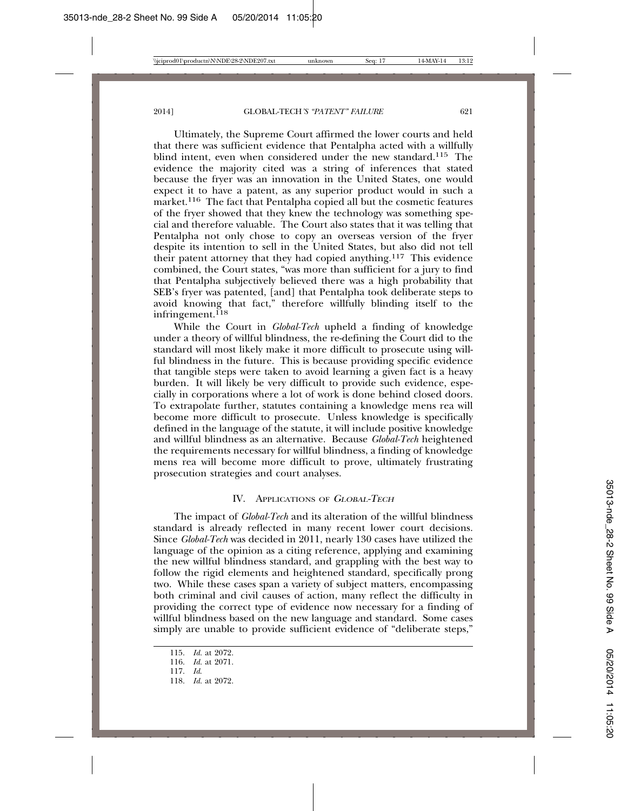Ultimately, the Supreme Court affirmed the lower courts and held that there was sufficient evidence that Pentalpha acted with a willfully blind intent, even when considered under the new standard.115 The evidence the majority cited was a string of inferences that stated because the fryer was an innovation in the United States, one would expect it to have a patent, as any superior product would in such a market.116 The fact that Pentalpha copied all but the cosmetic features of the fryer showed that they knew the technology was something special and therefore valuable. The Court also states that it was telling that Pentalpha not only chose to copy an overseas version of the fryer despite its intention to sell in the United States, but also did not tell their patent attorney that they had copied anything.117 This evidence combined, the Court states, "was more than sufficient for a jury to find that Pentalpha subjectively believed there was a high probability that SEB's fryer was patented, [and] that Pentalpha took deliberate steps to avoid knowing that fact," therefore willfully blinding itself to the infringement.<sup> $118$ </sup>

While the Court in *Global-Tech* upheld a finding of knowledge under a theory of willful blindness, the re-defining the Court did to the standard will most likely make it more difficult to prosecute using willful blindness in the future. This is because providing specific evidence that tangible steps were taken to avoid learning a given fact is a heavy burden. It will likely be very difficult to provide such evidence, especially in corporations where a lot of work is done behind closed doors. To extrapolate further, statutes containing a knowledge mens rea will become more difficult to prosecute. Unless knowledge is specifically defined in the language of the statute, it will include positive knowledge and willful blindness as an alternative. Because *Global-Tech* heightened the requirements necessary for willful blindness, a finding of knowledge mens rea will become more difficult to prove, ultimately frustrating prosecution strategies and court analyses.

#### IV. APPLICATIONS OF <sup>G</sup>LOBAL-TECH

The impact of *Global-Tech* and its alteration of the willful blindness standard is already reflected in many recent lower court decisions. Since *Global-Tech* was decided in 2011, nearly 130 cases have utilized the language of the opinion as a citing reference, applying and examining the new willful blindness standard, and grappling with the best way to follow the rigid elements and heightened standard, specifically prong two. While these cases span a variety of subject matters, encompassing both criminal and civil causes of action, many reflect the difficulty in providing the correct type of evidence now necessary for a finding of willful blindness based on the new language and standard. Some cases simply are unable to provide sufficient evidence of "deliberate steps,"

<sup>115.</sup> *Id.* at 2072.

<sup>116.</sup> *Id.* at 2071.

<sup>117.</sup> *Id*.

<sup>118.</sup> *Id.* at 2072.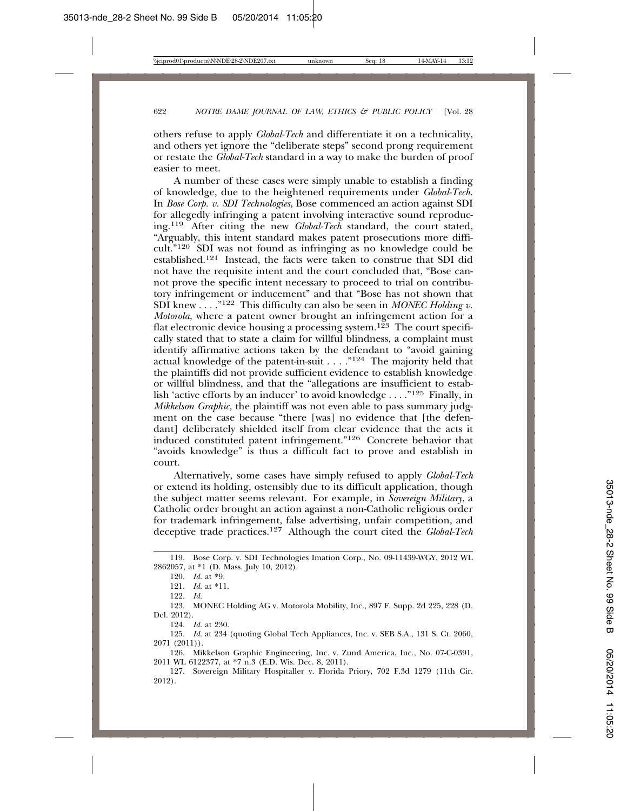others refuse to apply *Global-Tech* and differentiate it on a technicality, and others yet ignore the "deliberate steps" second prong requirement or restate the *Global-Tech* standard in a way to make the burden of proof easier to meet.

A number of these cases were simply unable to establish a finding of knowledge, due to the heightened requirements under *Global-Tech*. In *Bose Corp. v. SDI Technologies*, Bose commenced an action against SDI for allegedly infringing a patent involving interactive sound reproducing.119 After citing the new *Global-Tech* standard, the court stated, "Arguably, this intent standard makes patent prosecutions more difficult."120 SDI was not found as infringing as no knowledge could be established.121 Instead, the facts were taken to construe that SDI did not have the requisite intent and the court concluded that, "Bose cannot prove the specific intent necessary to proceed to trial on contributory infringement or inducement" and that "Bose has not shown that SDI knew . . . ."122 This difficulty can also be seen in *MONEC Holding v. Motorola*, where a patent owner brought an infringement action for a flat electronic device housing a processing system.<sup>123</sup> The court specifically stated that to state a claim for willful blindness, a complaint must identify affirmative actions taken by the defendant to "avoid gaining actual knowledge of the patent-in-suit  $\ldots$ ."<sup>124</sup> The majority held that the plaintiffs did not provide sufficient evidence to establish knowledge or willful blindness, and that the "allegations are insufficient to establish 'active efforts by an inducer' to avoid knowledge  $\dots$ ."<sup>125</sup> Finally, in *Mikkelson Graphic,* the plaintiff was not even able to pass summary judgment on the case because "there [was] no evidence that [the defendant] deliberately shielded itself from clear evidence that the acts it induced constituted patent infringement."126 Concrete behavior that "avoids knowledge" is thus a difficult fact to prove and establish in court.

Alternatively, some cases have simply refused to apply *Global-Tech* or extend its holding, ostensibly due to its difficult application, though the subject matter seems relevant. For example, in *Sovereign Military*, a Catholic order brought an action against a non-Catholic religious order for trademark infringement, false advertising, unfair competition, and deceptive trade practices.127 Although the court cited the *Global-Tech*

121. *Id.* at \*11.

122. *Id.*

123. MONEC Holding AG v. Motorola Mobility, Inc., 897 F. Supp. 2d 225, 228 (D. Del. 2012).

124. *Id.* at 230.

125. *Id.* at 234 (quoting Global Tech Appliances, Inc. v. SEB S.A., 131 S. Ct. 2060, 2071 (2011)).

126. Mikkelson Graphic Engineering, Inc. v. Zund America, Inc., No. 07-C-0391, 2011 WL 6122377, at \*7 n.3 (E.D. Wis. Dec. 8, 2011).

127. Sovereign Military Hospitaller v. Florida Priory, 702 F.3d 1279 (11th Cir. 2012).

<sup>119.</sup> Bose Corp. v. SDI Technologies Imation Corp., No. 09-11439-WGY, 2012 WL 2862057, at \*1 (D. Mass. July 10, 2012).

<sup>120.</sup> *Id.* at \*9.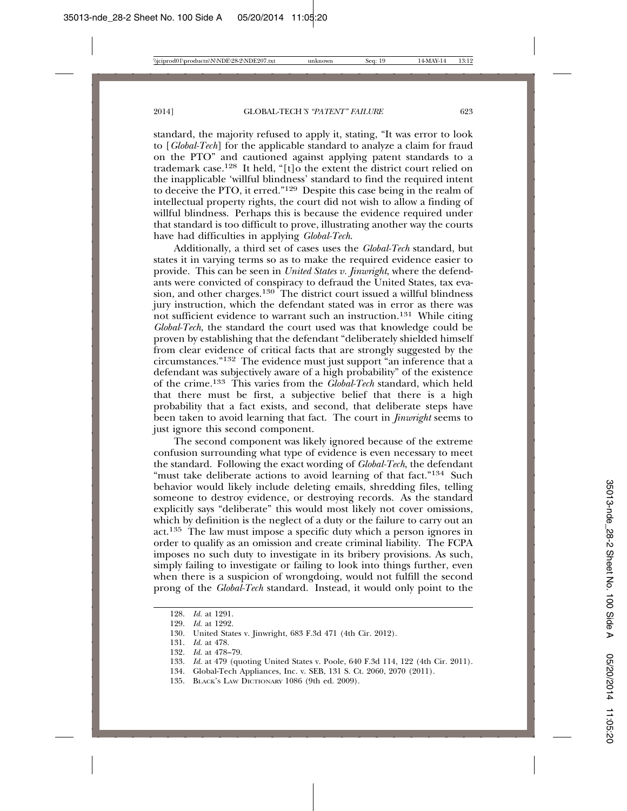standard, the majority refused to apply it, stating, "It was error to look to [*Global-Tech*] for the applicable standard to analyze a claim for fraud on the PTO" and cautioned against applying patent standards to a trademark case.<sup>128</sup> It held, "[t]o the extent the district court relied on the inapplicable 'willful blindness' standard to find the required intent to deceive the PTO, it erred."129 Despite this case being in the realm of intellectual property rights, the court did not wish to allow a finding of willful blindness. Perhaps this is because the evidence required under that standard is too difficult to prove, illustrating another way the courts have had difficulties in applying *Global-Tech*.

Additionally, a third set of cases uses the *Global-Tech* standard, but states it in varying terms so as to make the required evidence easier to provide. This can be seen in *United States v. Jinwright*, where the defendants were convicted of conspiracy to defraud the United States, tax evasion, and other charges.<sup>130</sup> The district court issued a willful blindness jury instruction, which the defendant stated was in error as there was not sufficient evidence to warrant such an instruction.<sup>131</sup> While citing *Global-Tech*, the standard the court used was that knowledge could be proven by establishing that the defendant "deliberately shielded himself from clear evidence of critical facts that are strongly suggested by the circumstances."132 The evidence must just support "an inference that a defendant was subjectively aware of a high probability" of the existence of the crime.133 This varies from the *Global-Tech* standard, which held that there must be first, a subjective belief that there is a high probability that a fact exists, and second, that deliberate steps have been taken to avoid learning that fact. The court in *Jinwright* seems to just ignore this second component.

The second component was likely ignored because of the extreme confusion surrounding what type of evidence is even necessary to meet the standard. Following the exact wording of *Global-Tech*, the defendant "must take deliberate actions to avoid learning of that fact."<sup>134</sup> Such behavior would likely include deleting emails, shredding files, telling someone to destroy evidence, or destroying records. As the standard explicitly says "deliberate" this would most likely not cover omissions, which by definition is the neglect of a duty or the failure to carry out an act.135 The law must impose a specific duty which a person ignores in order to qualify as an omission and create criminal liability. The FCPA imposes no such duty to investigate in its bribery provisions. As such, simply failing to investigate or failing to look into things further, even when there is a suspicion of wrongdoing, would not fulfill the second prong of the *Global-Tech* standard. Instead, it would only point to the

135. BLACK'S LAW DICTIONARY 1086 (9th ed. 2009).

<sup>128.</sup> *Id.* at 1291.<br>129. *Id.* at 1292.

*Id.* at 1292.

<sup>130.</sup> United States v. Jinwright, 683 F.3d 471 (4th Cir. 2012).

<sup>131.</sup> *Id.* at 478.

<sup>132.</sup> *Id.* at 478–79.

<sup>133.</sup> *Id.* at 479 (quoting United States v. Poole, 640 F.3d 114, 122 (4th Cir. 2011).

<sup>134.</sup> Global-Tech Appliances, Inc. v. SEB, 131 S. Ct. 2060, 2070 (2011).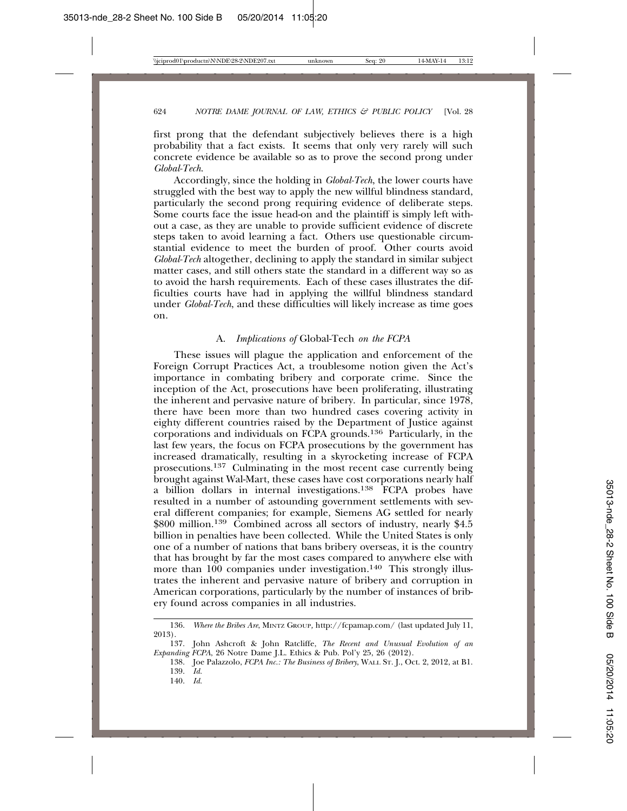first prong that the defendant subjectively believes there is a high probability that a fact exists. It seems that only very rarely will such concrete evidence be available so as to prove the second prong under *Global-Tech*.

Accordingly, since the holding in *Global-Tech*, the lower courts have struggled with the best way to apply the new willful blindness standard, particularly the second prong requiring evidence of deliberate steps. Some courts face the issue head-on and the plaintiff is simply left without a case, as they are unable to provide sufficient evidence of discrete steps taken to avoid learning a fact. Others use questionable circumstantial evidence to meet the burden of proof. Other courts avoid *Global-Tech* altogether, declining to apply the standard in similar subject matter cases, and still others state the standard in a different way so as to avoid the harsh requirements. Each of these cases illustrates the difficulties courts have had in applying the willful blindness standard under *Global-Tech*, and these difficulties will likely increase as time goes on.

#### A. *Implications of* Global-Tech *on the FCPA*

These issues will plague the application and enforcement of the Foreign Corrupt Practices Act, a troublesome notion given the Act's importance in combating bribery and corporate crime. Since the inception of the Act, prosecutions have been proliferating, illustrating the inherent and pervasive nature of bribery. In particular, since 1978, there have been more than two hundred cases covering activity in eighty different countries raised by the Department of Justice against corporations and individuals on FCPA grounds.136 Particularly, in the last few years, the focus on FCPA prosecutions by the government has increased dramatically, resulting in a skyrocketing increase of FCPA prosecutions.137 Culminating in the most recent case currently being brought against Wal-Mart, these cases have cost corporations nearly half a billion dollars in internal investigations.<sup>138</sup> FCPA probes have resulted in a number of astounding government settlements with several different companies; for example, Siemens AG settled for nearly \$800 million.<sup>139</sup> Combined across all sectors of industry, nearly \$4.5 billion in penalties have been collected. While the United States is only one of a number of nations that bans bribery overseas, it is the country that has brought by far the most cases compared to anywhere else with more than 100 companies under investigation.<sup>140</sup> This strongly illustrates the inherent and pervasive nature of bribery and corruption in American corporations, particularly by the number of instances of bribery found across companies in all industries.

<sup>136.</sup> *Where the Bribes Are*, MINTZ GROUP*,* http://fcpamap.com/ (last updated July 11, 2013).

<sup>137.</sup> John Ashcroft & John Ratcliffe, *The Recent and Unusual Evolution of an Expanding FCPA*, 26 Notre Dame J.L. Ethics & Pub. Pol'y 25, 26 (2012).

<sup>138.</sup> Joe Palazzolo, *FCPA Inc.: The Business of Bribery*, WALL ST. J., Oct. 2, 2012, at B1. 139. *Id.*

<sup>140.</sup> *Id.*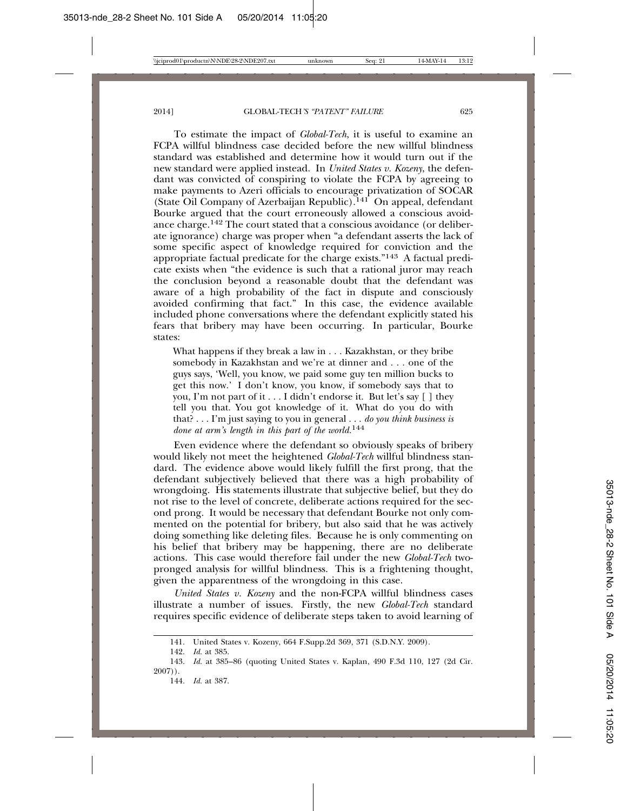To estimate the impact of *Global-Tech*, it is useful to examine an FCPA willful blindness case decided before the new willful blindness standard was established and determine how it would turn out if the new standard were applied instead. In *United States v. Kozeny*, the defendant was convicted of conspiring to violate the FCPA by agreeing to make payments to Azeri officials to encourage privatization of SOCAR (State Oil Company of Azerbaijan Republic).<sup>141</sup> On appeal, defendant Bourke argued that the court erroneously allowed a conscious avoidance charge.142 The court stated that a conscious avoidance (or deliberate ignorance) charge was proper when "a defendant asserts the lack of some specific aspect of knowledge required for conviction and the appropriate factual predicate for the charge exists."143 A factual predicate exists when "the evidence is such that a rational juror may reach the conclusion beyond a reasonable doubt that the defendant was aware of a high probability of the fact in dispute and consciously avoided confirming that fact." In this case, the evidence available included phone conversations where the defendant explicitly stated his fears that bribery may have been occurring. In particular, Bourke states:

What happens if they break a law in . . . Kazakhstan, or they bribe somebody in Kazakhstan and we're at dinner and . . . one of the guys says, 'Well, you know, we paid some guy ten million bucks to get this now.' I don't know, you know, if somebody says that to you, I'm not part of it . . . I didn't endorse it. But let's say [ ] they tell you that. You got knowledge of it. What do you do with that? . . . I'm just saying to you in general . . . *do you think business is done at arm's length in this part of the world.*<sup>144</sup>

Even evidence where the defendant so obviously speaks of bribery would likely not meet the heightened *Global-Tech* willful blindness standard. The evidence above would likely fulfill the first prong, that the defendant subjectively believed that there was a high probability of wrongdoing. His statements illustrate that subjective belief, but they do not rise to the level of concrete, deliberate actions required for the second prong. It would be necessary that defendant Bourke not only commented on the potential for bribery, but also said that he was actively doing something like deleting files. Because he is only commenting on his belief that bribery may be happening, there are no deliberate actions. This case would therefore fail under the new *Global-Tech* twopronged analysis for willful blindness. This is a frightening thought, given the apparentness of the wrongdoing in this case.

*United States v. Kozeny* and the non-FCPA willful blindness cases illustrate a number of issues. Firstly, the new *Global-Tech* standard requires specific evidence of deliberate steps taken to avoid learning of

<sup>141.</sup> United States v. Kozeny, 664 F.Supp.2d 369, 371 (S.D.N.Y. 2009). 142. Id. at 385.

<sup>142.</sup> *Id.* at 385.

<sup>143.</sup> *Id.* at 385–86 (quoting United States v. Kaplan, 490 F.3d 110, 127 (2d Cir. 2007)).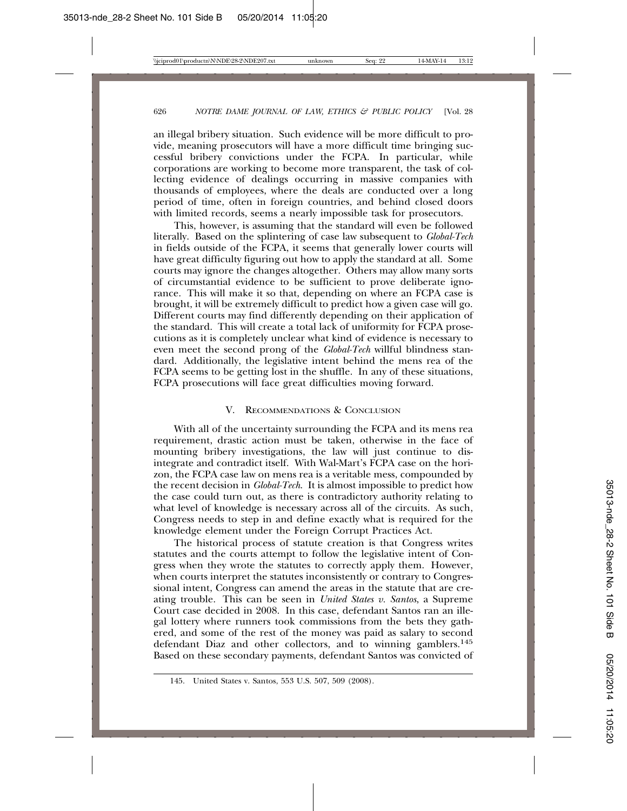an illegal bribery situation. Such evidence will be more difficult to provide, meaning prosecutors will have a more difficult time bringing successful bribery convictions under the FCPA. In particular, while corporations are working to become more transparent, the task of collecting evidence of dealings occurring in massive companies with thousands of employees, where the deals are conducted over a long period of time, often in foreign countries, and behind closed doors with limited records, seems a nearly impossible task for prosecutors.

This, however, is assuming that the standard will even be followed literally. Based on the splintering of case law subsequent to *Global-Tech* in fields outside of the FCPA, it seems that generally lower courts will have great difficulty figuring out how to apply the standard at all. Some courts may ignore the changes altogether. Others may allow many sorts of circumstantial evidence to be sufficient to prove deliberate ignorance. This will make it so that, depending on where an FCPA case is brought, it will be extremely difficult to predict how a given case will go. Different courts may find differently depending on their application of the standard. This will create a total lack of uniformity for FCPA prosecutions as it is completely unclear what kind of evidence is necessary to even meet the second prong of the *Global-Tech* willful blindness standard. Additionally, the legislative intent behind the mens rea of the FCPA seems to be getting lost in the shuffle. In any of these situations, FCPA prosecutions will face great difficulties moving forward.

#### V. RECOMMENDATIONS & CONCLUSION

With all of the uncertainty surrounding the FCPA and its mens rea requirement, drastic action must be taken, otherwise in the face of mounting bribery investigations, the law will just continue to disintegrate and contradict itself. With Wal-Mart's FCPA case on the horizon, the FCPA case law on mens rea is a veritable mess, compounded by the recent decision in *Global-Tech*. It is almost impossible to predict how the case could turn out, as there is contradictory authority relating to what level of knowledge is necessary across all of the circuits. As such, Congress needs to step in and define exactly what is required for the knowledge element under the Foreign Corrupt Practices Act.

The historical process of statute creation is that Congress writes statutes and the courts attempt to follow the legislative intent of Congress when they wrote the statutes to correctly apply them. However, when courts interpret the statutes inconsistently or contrary to Congressional intent, Congress can amend the areas in the statute that are creating trouble. This can be seen in *United States v. Santos*, a Supreme Court case decided in 2008. In this case, defendant Santos ran an illegal lottery where runners took commissions from the bets they gathered, and some of the rest of the money was paid as salary to second defendant Diaz and other collectors, and to winning gamblers.145 Based on these secondary payments, defendant Santos was convicted of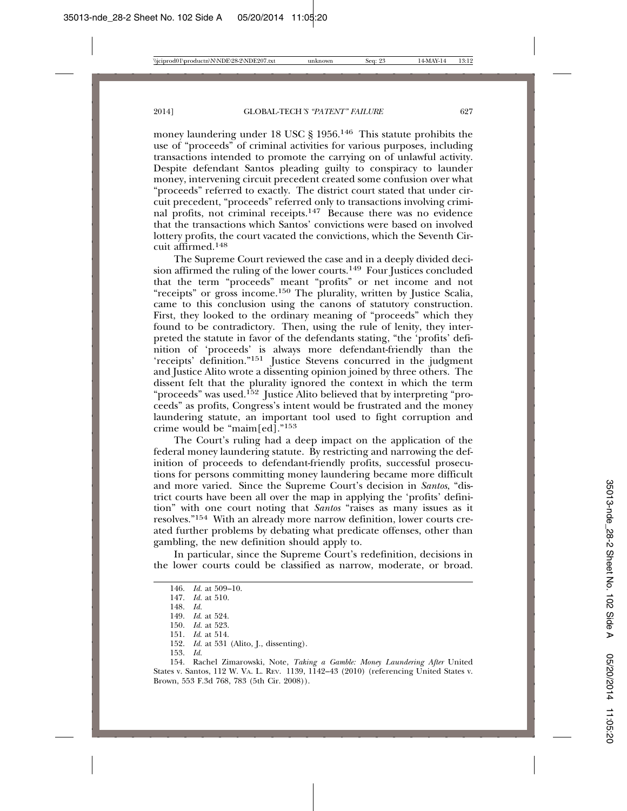money laundering under 18 USC § 1956.146 This statute prohibits the use of "proceeds" of criminal activities for various purposes, including transactions intended to promote the carrying on of unlawful activity. Despite defendant Santos pleading guilty to conspiracy to launder money, intervening circuit precedent created some confusion over what "proceeds" referred to exactly. The district court stated that under circuit precedent, "proceeds" referred only to transactions involving criminal profits, not criminal receipts.<sup>147</sup> Because there was no evidence that the transactions which Santos' convictions were based on involved lottery profits, the court vacated the convictions, which the Seventh Circuit affirmed.148

The Supreme Court reviewed the case and in a deeply divided decision affirmed the ruling of the lower courts.<sup>149</sup> Four Justices concluded that the term "proceeds" meant "profits" or net income and not "receipts" or gross income.150 The plurality, written by Justice Scalia, came to this conclusion using the canons of statutory construction. First, they looked to the ordinary meaning of "proceeds" which they found to be contradictory. Then, using the rule of lenity, they interpreted the statute in favor of the defendants stating, "the 'profits' definition of 'proceeds' is always more defendant-friendly than the 'receipts' definition."151 Justice Stevens concurred in the judgment and Justice Alito wrote a dissenting opinion joined by three others. The dissent felt that the plurality ignored the context in which the term "proceeds" was used.152 Justice Alito believed that by interpreting "proceeds" as profits, Congress's intent would be frustrated and the money laundering statute, an important tool used to fight corruption and crime would be "maim[ed]."153

The Court's ruling had a deep impact on the application of the federal money laundering statute. By restricting and narrowing the definition of proceeds to defendant-friendly profits, successful prosecutions for persons committing money laundering became more difficult and more varied. Since the Supreme Court's decision in *Santos*, "district courts have been all over the map in applying the 'profits' definition" with one court noting that *Santos* "raises as many issues as it resolves."154 With an already more narrow definition, lower courts created further problems by debating what predicate offenses, other than gambling, the new definition should apply to.

In particular, since the Supreme Court's redefinition, decisions in the lower courts could be classified as narrow, moderate, or broad.

146. *Id.* at 509–10. 147. *Id.* at 510. 148. *Id.* 149. *Id*. at 524. 150. *Id.* at 523. 151. *Id*. at 514. 152. *Id.* at 531 (Alito, J., dissenting). 153. *Id.*

154. Rachel Zimarowski, Note, *Taking a Gamble: Money Laundering After* United States v. Santos, 112 W. VA. L. REV. 1139, 1142–43 (2010) (referencing United States v. Brown, 553 F.3d 768, 783 (5th Cir. 2008)).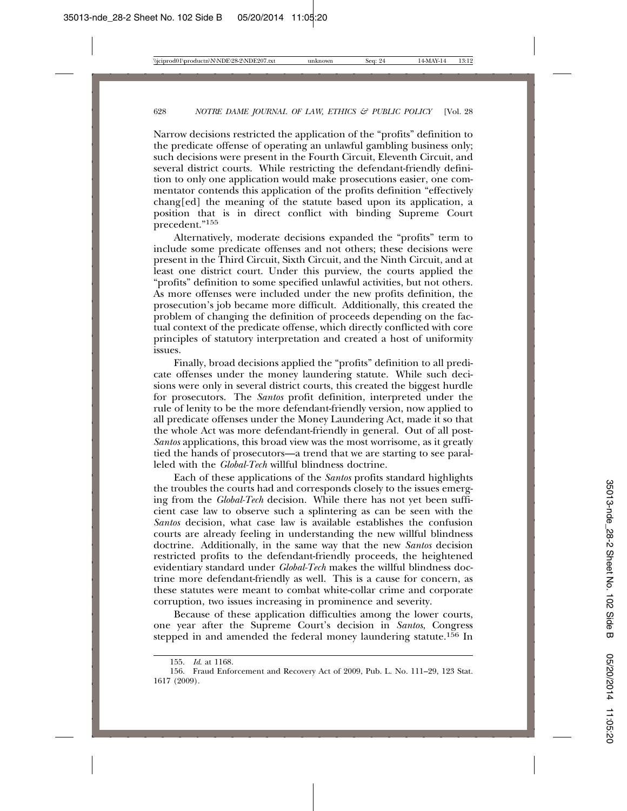Narrow decisions restricted the application of the "profits" definition to the predicate offense of operating an unlawful gambling business only; such decisions were present in the Fourth Circuit, Eleventh Circuit, and several district courts. While restricting the defendant-friendly definition to only one application would make prosecutions easier, one commentator contends this application of the profits definition "effectively chang[ed] the meaning of the statute based upon its application, a position that is in direct conflict with binding Supreme Court precedent."<sup>155</sup>

Alternatively, moderate decisions expanded the "profits" term to include some predicate offenses and not others; these decisions were present in the Third Circuit, Sixth Circuit, and the Ninth Circuit, and at least one district court. Under this purview, the courts applied the "profits" definition to some specified unlawful activities, but not others. As more offenses were included under the new profits definition, the prosecution's job became more difficult. Additionally, this created the problem of changing the definition of proceeds depending on the factual context of the predicate offense, which directly conflicted with core principles of statutory interpretation and created a host of uniformity issues.

Finally, broad decisions applied the "profits" definition to all predicate offenses under the money laundering statute. While such decisions were only in several district courts, this created the biggest hurdle for prosecutors. The *Santos* profit definition, interpreted under the rule of lenity to be the more defendant-friendly version, now applied to all predicate offenses under the Money Laundering Act, made it so that the whole Act was more defendant-friendly in general. Out of all post-*Santos* applications, this broad view was the most worrisome, as it greatly tied the hands of prosecutors—a trend that we are starting to see paralleled with the *Global-Tech* willful blindness doctrine.

Each of these applications of the *Santos* profits standard highlights the troubles the courts had and corresponds closely to the issues emerging from the *Global-Tech* decision. While there has not yet been sufficient case law to observe such a splintering as can be seen with the *Santos* decision, what case law is available establishes the confusion courts are already feeling in understanding the new willful blindness doctrine. Additionally, in the same way that the new *Santos* decision restricted profits to the defendant-friendly proceeds, the heightened evidentiary standard under *Global-Tech* makes the willful blindness doctrine more defendant-friendly as well. This is a cause for concern, as these statutes were meant to combat white-collar crime and corporate corruption, two issues increasing in prominence and severity.

Because of these application difficulties among the lower courts, one year after the Supreme Court's decision in *Santos*, Congress stepped in and amended the federal money laundering statute.<sup>156</sup> In

<sup>155.</sup> *Id*. at 1168.

<sup>156.</sup> Fraud Enforcement and Recovery Act of 2009, Pub. L. No. 111–29, 123 Stat. 1617 (2009).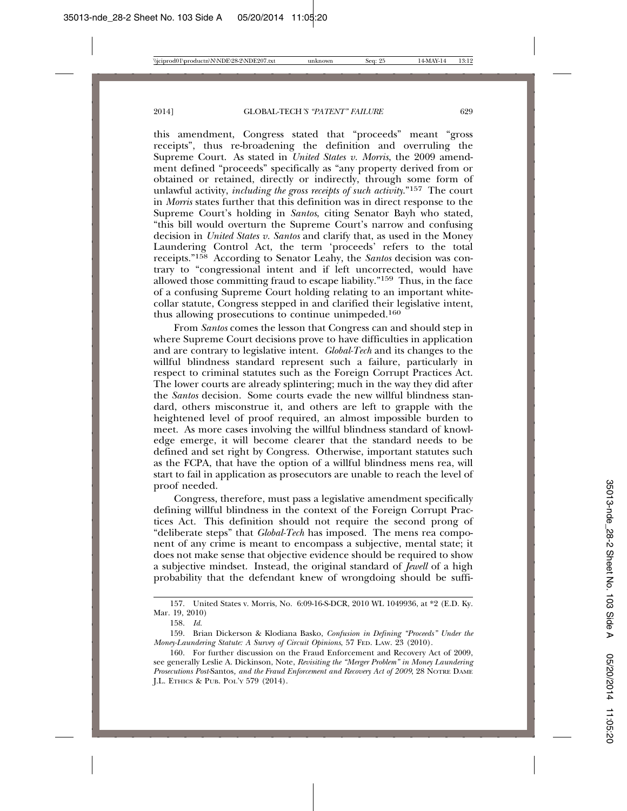this amendment, Congress stated that "proceeds" meant "gross receipts", thus re-broadening the definition and overruling the Supreme Court. As stated in *United States v. Morris*, the 2009 amendment defined "proceeds" specifically as "any property derived from or obtained or retained, directly or indirectly, through some form of unlawful activity, *including the gross receipts of such activity*."157 The court in *Morris* states further that this definition was in direct response to the Supreme Court's holding in *Santos*, citing Senator Bayh who stated, "this bill would overturn the Supreme Court's narrow and confusing decision in *United States v. Santos* and clarify that, as used in the Money Laundering Control Act, the term 'proceeds' refers to the total receipts."158 According to Senator Leahy, the *Santos* decision was contrary to "congressional intent and if left uncorrected, would have allowed those committing fraud to escape liability."159 Thus, in the face of a confusing Supreme Court holding relating to an important whitecollar statute, Congress stepped in and clarified their legislative intent, thus allowing prosecutions to continue unimpeded.160

From *Santos* comes the lesson that Congress can and should step in where Supreme Court decisions prove to have difficulties in application and are contrary to legislative intent. *Global-Tech* and its changes to the willful blindness standard represent such a failure, particularly in respect to criminal statutes such as the Foreign Corrupt Practices Act. The lower courts are already splintering; much in the way they did after the *Santos* decision. Some courts evade the new willful blindness standard, others misconstrue it, and others are left to grapple with the heightened level of proof required, an almost impossible burden to meet. As more cases involving the willful blindness standard of knowledge emerge, it will become clearer that the standard needs to be defined and set right by Congress. Otherwise, important statutes such as the FCPA, that have the option of a willful blindness mens rea, will start to fail in application as prosecutors are unable to reach the level of proof needed.

Congress, therefore, must pass a legislative amendment specifically defining willful blindness in the context of the Foreign Corrupt Practices Act. This definition should not require the second prong of "deliberate steps" that *Global-Tech* has imposed. The mens rea component of any crime is meant to encompass a subjective, mental state; it does not make sense that objective evidence should be required to show a subjective mindset. Instead, the original standard of *Jewell* of a high probability that the defendant knew of wrongdoing should be suffi-

<sup>157.</sup> United States v. Morris, No. 6:09-16-S-DCR, 2010 WL 1049936, at \*2 (E.D. Ky. Mar. 19, 2010)

<sup>158.</sup> *Id.*

<sup>159.</sup> Brian Dickerson & Klodiana Basko, *Confusion in Defining "Proceeds" Under the Money-Laundering Statute: A Survey of Circuit Opinions*, 57 FED. LAW. 23 (2010).

<sup>160.</sup> For further discussion on the Fraud Enforcement and Recovery Act of 2009, see generally Leslie A. Dickinson, Note, *Revisiting the "Merger Problem" in Money Laundering Prosecutions Post-*Santos*, and the Fraud Enforcement and Recovery Act of 2009*, 28 NOTRE DAME J.L. ETHICS & PUB. POL'Y 579 (2014).